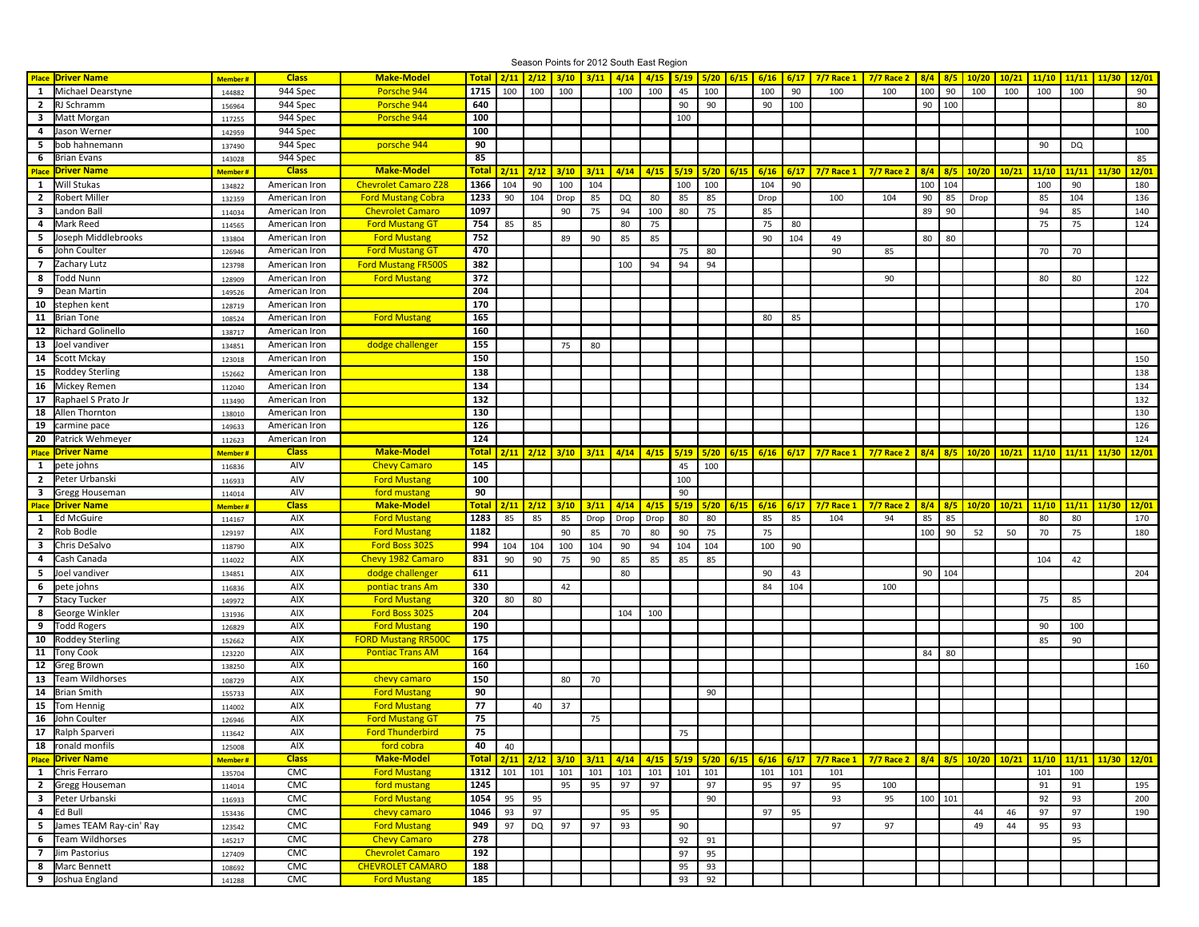|                         |                           |                |               |                             |              |               |               |                      | Season Points for 2012 South East Region |      |      |      |      |      |                  |      |                                                             |                                               |     |           |               |       |       |               |               |       |
|-------------------------|---------------------------|----------------|---------------|-----------------------------|--------------|---------------|---------------|----------------------|------------------------------------------|------|------|------|------|------|------------------|------|-------------------------------------------------------------|-----------------------------------------------|-----|-----------|---------------|-------|-------|---------------|---------------|-------|
|                         | <b>Place Driver Name</b>  | <b>Member#</b> | <b>Class</b>  | <b>Make-Model</b>           | <b>Total</b> |               |               | $2/11$ $2/12$ $3/10$ | $3/11$ $4/14$                            |      | 4/15 | 5/19 |      |      | $5/20$ 6/15 6/16 |      | 6/17 7/7 Race 1                                             | $7/7$ Race 2                                  |     |           | 8/4 8/5 10/20 | 10/21 | 11/10 | 11/11         | 11/30         | 12/01 |
| 1                       | Michael Dearstyne         | 144882         | 944 Spec      | Porsche 944                 | 1715         | 100           | 100           | 100                  |                                          | 100  | 100  | 45   | 100  |      | 100              | 90   | 100                                                         | 100                                           | 100 | 90        | 100           | 100   | 100   | 100           |               | 90    |
|                         | 2 RJ Schramm              | 156964         | 944 Spec      | Porsche 944                 | 640          |               |               |                      |                                          |      |      | 90   | 90   |      | 90               | 100  |                                                             |                                               |     | 90   100  |               |       |       |               |               | 80    |
|                         | 3 Matt Morgan             | 117255         | 944 Spec      | Porsche 944                 | 100          |               |               |                      |                                          |      |      | 100  |      |      |                  |      |                                                             |                                               |     |           |               |       |       |               |               |       |
| 4                       | Jason Werner              | 142959         | 944 Spec      |                             | 100          |               |               |                      |                                          |      |      |      |      |      |                  |      |                                                             |                                               |     |           |               |       |       |               |               | 100   |
| 5                       | bob hahnemann             | 137490         | 944 Spec      | porsche 944                 | 90           |               |               |                      |                                          |      |      |      |      |      |                  |      |                                                             |                                               |     |           |               |       | 90    | <b>DQ</b>     |               |       |
| 6                       | Brian Evans               | 143028         | 944 Spec      |                             | 85           |               |               |                      |                                          |      |      |      |      |      |                  |      |                                                             |                                               |     |           |               |       |       |               |               | 85    |
| Place                   | <b>Driver Name</b>        | Member#        | <b>Class</b>  | <b>Make-Model</b>           | <b>Total</b> |               | $2/11$ $2/12$ | 3/10                 | 3/11                                     | 4/14 | 4/15 | 5/19 | 5/20 | 6/15 | 6/16             | 6/17 | $7/7$ Race 1                                                | <b>7/7 Race 2</b>                             | 8/4 | 8/5       | 10/20         | 10/21 | 11/10 | 11/11         | 11/30         | 12/01 |
| <b>1</b>                | Will Stukas               | 134822         | American Iron | <b>Chevrolet Camaro Z28</b> | 1366         | 104           | 90            | 100                  | 104                                      |      |      | 100  | 100  |      | 104              | 90   |                                                             |                                               | 100 | 104       |               |       | 100   | 90            |               | 180   |
| $\overline{2}$          | <b>Robert Miller</b>      | 132359         | American Iron | <b>Ford Mustang Cobra</b>   | 1233         | 90            | 104           | Drop                 | 85                                       | DQ   | 80   | 85   | 85   |      | Drop             |      | 100                                                         | 104                                           | 90  | 85        | Drop          |       | 85    | 104           |               | 136   |
| 3                       | Landon Ball               | 114034         | American Iron | <b>Chevrolet Camaro</b>     | 1097         |               |               | 90                   | 75                                       | 94   | 100  | 80   | 75   |      | 85               |      |                                                             |                                               | 89  | 90        |               |       | 94    | 85            |               | 140   |
| $\overline{a}$          | Mark Reed                 | 114565         | American Iron | <b>Ford Mustang GT</b>      | 754          | 85            | 85            |                      |                                          | 80   | 75   |      |      |      | 75               | 80   |                                                             |                                               |     |           |               |       | 75    | 75            |               | 124   |
| 5                       | Joseph Middlebrooks       | 133804         | American Iron | <b>Ford Mustang</b>         | 752          |               |               | 89                   | 90                                       | 85   | 85   |      |      |      | 90               | 104  | 49                                                          |                                               | 80  | 80        |               |       |       |               |               |       |
| 6                       | John Coulter              | 126946         | American Iron | <b>Ford Mustang GT</b>      | 470          |               |               |                      |                                          |      |      | 75   | 80   |      |                  |      | 90                                                          | 85                                            |     |           |               |       | 70    | 70            |               |       |
| $\overline{7}$          | Zachary Lutz              | 123798         | American Iron | <b>Ford Mustang FR500S</b>  | 382          |               |               |                      |                                          | 100  | 94   | 94   | 94   |      |                  |      |                                                             |                                               |     |           |               |       |       |               |               |       |
| 8                       | Todd Nunn                 | 128909         | American Iron | <b>Ford Mustang</b>         | 372          |               |               |                      |                                          |      |      |      |      |      |                  |      |                                                             | 90                                            |     |           |               |       | 80    | 80            |               | 122   |
| 9                       | Dean Martin               | 149526         | American Iron |                             | 204          |               |               |                      |                                          |      |      |      |      |      |                  |      |                                                             |                                               |     |           |               |       |       |               |               | 204   |
| 10                      | stephen kent              | 128719         | American Iron |                             | 170          |               |               |                      |                                          |      |      |      |      |      |                  |      |                                                             |                                               |     |           |               |       |       |               |               | 170   |
| 11                      | <b>Brian Tone</b>         | 108524         | American Iron | <b>Ford Mustang</b>         | 165          |               |               |                      |                                          |      |      |      |      |      | 80               | 85   |                                                             |                                               |     |           |               |       |       |               |               |       |
| 12                      | Richard Golinello         | 138717         | American Iron |                             | 160          |               |               |                      |                                          |      |      |      |      |      |                  |      |                                                             |                                               |     |           |               |       |       |               |               | 160   |
| 13                      | Joel vandiver             | 134851         | American Iron | dodge challenger            | 155          |               |               | 75                   | 80                                       |      |      |      |      |      |                  |      |                                                             |                                               |     |           |               |       |       |               |               |       |
| 14                      | Scott Mckay               |                | American Iron |                             | 150          |               |               |                      |                                          |      |      |      |      |      |                  |      |                                                             |                                               |     |           |               |       |       |               |               | 150   |
|                         |                           | 123018         |               |                             | 138          |               |               |                      |                                          |      |      |      |      |      |                  |      |                                                             |                                               |     |           |               |       |       |               |               |       |
| 15                      | Roddey Sterling           | 152662         | American Iron |                             |              |               |               |                      |                                          |      |      |      |      |      |                  |      |                                                             |                                               |     |           |               |       |       |               |               | 138   |
| 16                      | Mickey Remen              | 112040         | American Iron |                             | 134          |               |               |                      |                                          |      |      |      |      |      |                  |      |                                                             |                                               |     |           |               |       |       |               |               | 134   |
| 17                      | Raphael S Prato Jr        | 113490         | American Iron |                             | 132          |               |               |                      |                                          |      |      |      |      |      |                  |      |                                                             |                                               |     |           |               |       |       |               |               | 132   |
| 18                      | Allen Thornton            | 138010         | American Iron |                             | 130<br>126   |               |               |                      |                                          |      |      |      |      |      |                  |      |                                                             |                                               |     |           |               |       |       |               |               | 130   |
| 19                      | carmine pace              | 149633         | American Iron |                             |              |               |               |                      |                                          |      |      |      |      |      |                  |      |                                                             |                                               |     |           |               |       |       |               |               | 126   |
| 20                      | Patrick Wehmeyer          | 112623         | American Iron |                             | 124          |               |               |                      |                                          |      |      |      |      |      |                  |      |                                                             |                                               |     |           |               |       |       |               |               | 124   |
| <b>Place</b>            | <b>Driver Name</b>        | Member#        | <b>Class</b>  | <b>Make-Model</b>           | <b>Total</b> |               |               | $2/11$ $2/12$ $3/10$ | 3/11                                     | 4/14 | 4/15 | 5/19 | 5/20 | 6/15 | 6/16             | 6/17 | $7/7$ Race 1                                                | <b>7/7 Race 2</b>                             |     | $8/4$ 8/5 | 10/20         | 10/21 |       | $11/10$ 11/11 | 11/30         | 12/01 |
| $\mathbf{1}$            | pete johns                | 116836         | AIV           | <b>Chevy Camaro</b>         | 145          |               |               |                      |                                          |      |      | 45   | 100  |      |                  |      |                                                             |                                               |     |           |               |       |       |               |               |       |
| $\overline{2}$          | Peter Urbanski            | 116933         | AIV           | <b>Ford Mustang</b>         | 100          |               |               |                      |                                          |      |      | 100  |      |      |                  |      |                                                             |                                               |     |           |               |       |       |               |               |       |
| $\overline{\mathbf{3}}$ | Gregg Houseman            | 114014         | AIV           | ford mustang                | 90           |               |               |                      |                                          |      |      | 90   |      |      |                  |      |                                                             |                                               |     |           |               |       |       |               |               |       |
| <b>Place</b>            | <b>Driver Name</b>        | Member#        | <b>Class</b>  | <b>Make-Model</b>           | <b>Total</b> | $2/11$ $2/12$ |               | 3/10                 | 3/11                                     | 4/14 | 4/15 | 5/19 | 5/20 | 6/15 | 6/16             | 6/17 | <b>7/7 Race 1</b>                                           | <b>7/7 Race 2</b>                             | 8/4 |           | $8/5$ 10/20   | 10/21 | 11/10 | 11/11         | 11/30         | 12/01 |
| $\mathbf{1}$            | Ed McGuire                | 114167         | AIX           | <b>Ford Mustang</b>         | 1283         | 85            | 85            | 85                   | Drop                                     | Drop | Drop | 80   | 80   |      | 85               | 85   | 104                                                         | 94                                            | 85  | 85        |               |       | 80    | 80            |               | 170   |
| $\overline{2}$          | Rob Bodle                 | 129197         | AIX           | <b>Ford Mustang</b>         | 1182         |               |               | 90                   | 85                                       | 70   | 80   | 90   | 75   |      | 75               |      |                                                             |                                               | 100 | 90        | 52            | 50    | 70    | 75            |               | 180   |
| 3                       | Chris DeSalvo             | 118790         | AIX           | Ford Boss 302S              | 994          | 104           | 104           | 100                  | 104                                      | 90   | 94   | 104  | 104  |      | 100              | 90   |                                                             |                                               |     |           |               |       |       |               |               |       |
| 4                       | Cash Canada               | 114022         | AIX           | Chevy 1982 Camaro           | 831          | 90            | 90            | 75                   | 90                                       | 85   | 85   | 85   | 85   |      |                  |      |                                                             |                                               |     |           |               |       | 104   | 42            |               |       |
| 5                       | Joel vandiver             | 134851         | AIX           | dodge challenger            | 611          |               |               |                      |                                          | 80   |      |      |      |      | 90               | 43   |                                                             |                                               |     | 90 104    |               |       |       |               |               | 204   |
|                         | 6 pete johns              | 116836         | AIX           | pontiac trans Am            | 330          |               |               | 42                   |                                          |      |      |      |      |      | 84               | 104  |                                                             | 100                                           |     |           |               |       |       |               |               |       |
| $\overline{7}$          | Stacy Tucker              | 149972         | AIX           | <b>Ford Mustang</b>         | 320          | 80            | 80            |                      |                                          |      |      |      |      |      |                  |      |                                                             |                                               |     |           |               |       | 75    | 85            |               |       |
| 8                       | George Winkler            | 131936         | AIX           | Ford Boss 302S              | 204          |               |               |                      |                                          | 104  | 100  |      |      |      |                  |      |                                                             |                                               |     |           |               |       |       |               |               |       |
| 9                       | Todd Rogers               | 126829         | AIX           | <b>Ford Mustang</b>         | 190          |               |               |                      |                                          |      |      |      |      |      |                  |      |                                                             |                                               |     |           |               |       | 90    | 100           |               |       |
| 10                      | Roddey Sterling           | 152662         | AIX           | <b>FORD Mustang RR500C</b>  | 175          |               |               |                      |                                          |      |      |      |      |      |                  |      |                                                             |                                               |     |           |               |       | 85    | 90            |               |       |
| 11                      | <b>Tony Cook</b>          | 123220         | <b>AIX</b>    | <b>Pontiac Trans AM</b>     | 164          |               |               |                      |                                          |      |      |      |      |      |                  |      |                                                             |                                               | 84  | 80        |               |       |       |               |               |       |
| 12                      | Greg Brown                | 138250         | <b>AIX</b>    |                             | 160          |               |               |                      |                                          |      |      |      |      |      |                  |      |                                                             |                                               |     |           |               |       |       |               |               | 160   |
| 13                      | Team Wildhorses           | 108729         | AIX           | chevy camaro                | 150          |               |               | 80                   | 70                                       |      |      |      |      |      |                  |      |                                                             |                                               |     |           |               |       |       |               |               |       |
| 14                      | Brian Smith               | 155733         | <b>AIX</b>    | <b>Ford Mustang</b>         | 90           |               |               |                      |                                          |      |      |      | 90   |      |                  |      |                                                             |                                               |     |           |               |       |       |               |               |       |
| 15                      | Tom Hennig                | 114002         | AIX           | <b>Ford Mustang</b>         | 77           |               | 40            | 37                   |                                          |      |      |      |      |      |                  |      |                                                             |                                               |     |           |               |       |       |               |               |       |
| 16                      | John Coulter              | 126946         | AIX           | <b>Ford Mustang GT</b>      | 75           |               |               |                      | 75                                       |      |      |      |      |      |                  |      |                                                             |                                               |     |           |               |       |       |               |               |       |
| 17                      | Ralph Sparveri            | 113642         | AIX           | <b>Ford Thunderbird</b>     | 75           |               |               |                      |                                          |      |      | 75   |      |      |                  |      |                                                             |                                               |     |           |               |       |       |               |               |       |
|                         | 18 ronald monfils         | 125008         | AIX           | ford cobra                  | 40           | 40            |               |                      |                                          |      |      |      |      |      |                  |      |                                                             |                                               |     |           |               |       |       |               |               |       |
|                         | <b>Place Driver Name</b>  | Member#        | <b>Class</b>  | <b>Make-Model</b>           | <b>Total</b> |               |               | $2/11$ $2/12$ $3/10$ | 3/11                                     |      |      |      |      |      |                  |      | 4/14   4/15   5/19   5/20   6/15   6/16   6/17   7/7 Race 1 | <mark>7/7 Race 2   8/4   8/5   10/20  </mark> |     |           |               | 10/21 |       | $11/10$ 11/11 | $11/30$ 12/01 |       |
|                         | 1 Chris Ferraro           | 135704         | CMC           | <b>Ford Mustang</b>         | 1312         |               | 101 101       | 101                  | 101                                      | 101  | 101  | 101  | 101  |      | 101              | 101  | 101                                                         |                                               |     |           |               |       | 101   | 100           |               |       |
|                         | 2 Gregg Houseman          | 114014         | CMC           | ford mustang                | 1245         |               |               | 95                   | 95                                       | 97   | 97   |      | 97   |      | 95               | 97   | 95                                                          | 100                                           |     |           |               |       | 91    | 91            |               | 195   |
|                         | <b>3</b> Peter Urbanski   | 116933         | CMC           | <b>Ford Mustang</b>         | 1054         | 95            | 95            |                      |                                          |      |      |      | 90   |      |                  |      | 93                                                          | 95                                            |     | 100 101   |               |       | 92    | 93            |               | 200   |
|                         |                           |                |               |                             |              |               |               |                      |                                          |      |      |      |      |      |                  |      |                                                             |                                               |     |           |               |       |       |               |               |       |
|                         | 4 Ed Bull                 | 153436         | CMC           | chevy camaro                | 1046         | 93            | 97            |                      |                                          | 95   | 95   |      |      |      | 97               | 95   |                                                             |                                               |     |           | 44            | 46    | 97    | 97            |               | 190   |
|                         | 5 James TEAM Ray-cin' Ray | 123542         | CMC           | <b>Ford Mustang</b>         | 949          | 97            | DQ            | 97                   | 97                                       | 93   |      | 90   |      |      |                  |      | 97                                                          | 97                                            |     |           | 49            | 44    | 95    | 93            |               |       |
|                         | 6 Team Wildhorses         | 145217         | CMC           | <b>Chevy Camaro</b>         | 278          |               |               |                      |                                          |      |      | 92   | 91   |      |                  |      |                                                             |                                               |     |           |               |       |       | 95            |               |       |
| $\overline{7}$          | Jim Pastorius             | 127409         | CMC           | <b>Chevrolet Camaro</b>     | 192          |               |               |                      |                                          |      |      | 97   | 95   |      |                  |      |                                                             |                                               |     |           |               |       |       |               |               |       |
|                         | 8 Marc Bennett            | 108692         | CMC           | <b>CHEVROLET CAMARO</b>     | 188          |               |               |                      |                                          |      |      | 95   | 93   |      |                  |      |                                                             |                                               |     |           |               |       |       |               |               |       |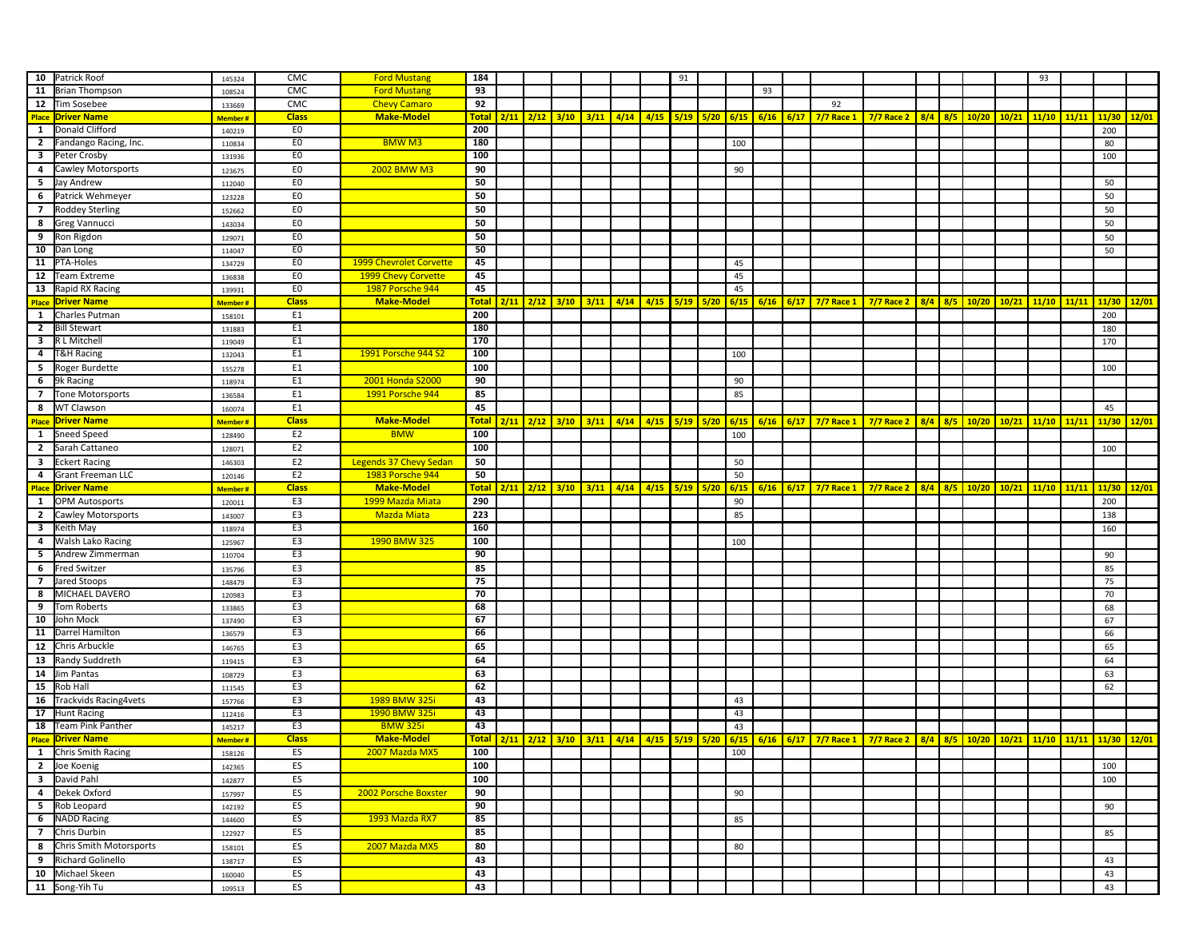|                          | 10 Patrick Roof                 |                | CMC            | <b>Ford Mustang</b>           | 184          |      |                      |      |      |      | 91          |             |        |    |                                                                                                                                |                   |     |     |       |       | 93            |       |          |               |
|--------------------------|---------------------------------|----------------|----------------|-------------------------------|--------------|------|----------------------|------|------|------|-------------|-------------|--------|----|--------------------------------------------------------------------------------------------------------------------------------|-------------------|-----|-----|-------|-------|---------------|-------|----------|---------------|
| 11                       |                                 | 145324         |                | <b>Ford Mustang</b>           | 93           |      |                      |      |      |      |             |             |        |    |                                                                                                                                |                   |     |     |       |       |               |       |          |               |
|                          | Brian Thompson                  | 108524         | CMC            |                               |              |      |                      |      |      |      |             |             |        | 93 |                                                                                                                                |                   |     |     |       |       |               |       |          |               |
|                          | 12 Tim Sosebee                  | 133669         | CMC            | <b>Chevy Camaro</b>           | 92           |      |                      |      |      |      |             |             |        |    | 92                                                                                                                             |                   |     |     |       |       |               |       |          |               |
|                          | <b>Place Driver Name</b>        | Member#        | <b>Class</b>   | <b>Make-Model</b>             | <b>Total</b> |      | $2/11$ $2/12$ $3/10$ | 3/11 | 4/14 | 4/15 | 5/19        | $5/20$ 6/15 |        |    | 6/16 6/17 7/7 Race 1 7/7 Race 2 8/4 8/5 10/20                                                                                  |                   |     |     |       | 10/21 | 11/10         | 11/11 |          | $11/30$ 12/01 |
| $\mathbf{1}$             | Donald Clifford                 | 140219         | E <sub>0</sub> |                               | 200          |      |                      |      |      |      |             |             |        |    |                                                                                                                                |                   |     |     |       |       |               |       | 200      |               |
| $\overline{2}$           | Fandango Racing, Inc.           | 110834         | E <sub>0</sub> | <b>BMWM3</b>                  | 180          |      |                      |      |      |      |             |             | 100    |    |                                                                                                                                |                   |     |     |       |       |               |       | 80       |               |
| $\overline{\mathbf{3}}$  | Peter Crosby                    | 131936         | E <sub>0</sub> |                               | 100          |      |                      |      |      |      |             |             |        |    |                                                                                                                                |                   |     |     |       |       |               |       | 100      |               |
| $\overline{4}$           | Cawley Motorsports              | 123675         | E <sub>0</sub> | <b>2002 BMW M3</b>            | 90           |      |                      |      |      |      |             |             | 90     |    |                                                                                                                                |                   |     |     |       |       |               |       |          |               |
| 5                        | Jay Andrew                      | 112040         | E <sub>0</sub> |                               | 50           |      |                      |      |      |      |             |             |        |    |                                                                                                                                |                   |     |     |       |       |               |       | 50       |               |
| 6                        | Patrick Wehmeyer                | 123228         | E <sub>0</sub> |                               | 50           |      |                      |      |      |      |             |             |        |    |                                                                                                                                |                   |     |     |       |       |               |       | 50       |               |
| $\overline{7}$           | Roddey Sterling                 | 152662         | E <sub>0</sub> |                               | 50           |      |                      |      |      |      |             |             |        |    |                                                                                                                                |                   |     |     |       |       |               |       | 50       |               |
| 8                        | Greg Vannucci                   |                | E <sub>0</sub> |                               | 50           |      |                      |      |      |      |             |             |        |    |                                                                                                                                |                   |     |     |       |       |               |       | 50       |               |
|                          |                                 | 143034         |                |                               |              |      |                      |      |      |      |             |             |        |    |                                                                                                                                |                   |     |     |       |       |               |       |          |               |
| 9                        | Ron Rigdon                      | 129071         | E <sub>0</sub> |                               | 50           |      |                      |      |      |      |             |             |        |    |                                                                                                                                |                   |     |     |       |       |               |       | 50       |               |
| 10                       | Dan Long                        | 114047         | E <sub>0</sub> |                               | 50           |      |                      |      |      |      |             |             |        |    |                                                                                                                                |                   |     |     |       |       |               |       | 50       |               |
| 11                       | PTA-Holes                       | 134729         | E <sub>0</sub> | 1999 Chevrolet Corvette       | 45           |      |                      |      |      |      |             |             | 45     |    |                                                                                                                                |                   |     |     |       |       |               |       |          |               |
| 12                       | Team Extreme                    | 136838         | E <sub>0</sub> | 1999 Chevy Corvette           | 45           |      |                      |      |      |      |             |             | 45     |    |                                                                                                                                |                   |     |     |       |       |               |       |          |               |
| 13                       | Rapid RX Racing                 | 139931         | E <sub>0</sub> | <b>1987 Porsche 944</b>       | 45           |      |                      |      |      |      |             |             | 45     |    |                                                                                                                                |                   |     |     |       |       |               |       |          |               |
|                          | <b>Place Driver Name</b>        | Member#        | <b>Class</b>   | <b>Make-Model</b>             | <b>Total</b> |      | $2/11$ $2/12$ $3/10$ | 3/11 | 4/14 | 4/15 | $5/19$ 5/20 |             | 6/15   |    | 6/16 6/17 7/7 Race 1 7/7 Race 2 8/4 8/5                                                                                        |                   |     |     | 10/20 | 10/21 | 11/10         | 11/11 |          | $11/30$ 12/01 |
| $\mathbf{1}$             | Charles Putman                  | 158101         | E <sub>1</sub> |                               | 200          |      |                      |      |      |      |             |             |        |    |                                                                                                                                |                   |     |     |       |       |               |       | 200      |               |
| $\overline{2}$           | <b>Bill Stewart</b>             | 131883         | E <sub>1</sub> |                               | 180          |      |                      |      |      |      |             |             |        |    |                                                                                                                                |                   |     |     |       |       |               |       | 180      |               |
| $\overline{\mathbf{3}}$  | R L Mitchell                    | 119049         | E1             |                               | 170          |      |                      |      |      |      |             |             |        |    |                                                                                                                                |                   |     |     |       |       |               |       | 170      |               |
| 4                        | T&H Racing                      | 132043         | E <sub>1</sub> | 1991 Porsche 944 S2           | 100          |      |                      |      |      |      |             |             | 100    |    |                                                                                                                                |                   |     |     |       |       |               |       |          |               |
| $5^{\circ}$              | Roger Burdette                  | 155278         | E <sub>1</sub> |                               | 100          |      |                      |      |      |      |             |             |        |    |                                                                                                                                |                   |     |     |       |       |               |       | 100      |               |
| 6                        | 9k Racing                       | 118974         | E <sub>1</sub> | 2001 Honda S2000              | 90           |      |                      |      |      |      |             |             | 90     |    |                                                                                                                                |                   |     |     |       |       |               |       |          |               |
| $\overline{7}$           | Tone Motorsports                | 136584         | E1             | 1991 Porsche 944              | 85           |      |                      |      |      |      |             |             | 85     |    |                                                                                                                                |                   |     |     |       |       |               |       |          |               |
| 8                        | <b>WT Clawson</b>               |                | E <sub>1</sub> |                               | 45           |      |                      |      |      |      |             |             |        |    |                                                                                                                                |                   |     |     |       |       |               |       | 45       |               |
|                          |                                 | 160074         | <b>Class</b>   | <b>Make-Model</b>             |              |      |                      |      |      |      |             |             |        |    | 6/16 6/17 7/7 Race 1 7/7 Race 2 8/4 8/5 10/20                                                                                  |                   |     |     |       |       |               |       |          |               |
|                          | <b>Place Driver Name</b>        | <b>Member#</b> |                |                               | <b>Total</b> |      | $2/11$ $2/12$ $3/10$ | 3/11 | 4/14 | 4/15 | $5/19$ 5/20 |             | $6/15$ |    |                                                                                                                                |                   |     |     |       |       | $10/21$ 11/10 | 11/11 |          | $11/30$ 12/01 |
| $\mathbf{1}$             | Sneed Speed                     | 128490         | E <sub>2</sub> | <b>BMW</b>                    | 100          |      |                      |      |      |      |             |             | 100    |    |                                                                                                                                |                   |     |     |       |       |               |       |          |               |
| $\overline{2}$           | Sarah Cattaneo                  | 128071         | E <sub>2</sub> |                               | 100          |      |                      |      |      |      |             |             |        |    |                                                                                                                                |                   |     |     |       |       |               |       | 100      |               |
| $\overline{\mathbf{3}}$  | <b>Eckert Racing</b>            | 146303         | E <sub>2</sub> | <b>Legends 37 Chevy Sedan</b> | 50           |      |                      |      |      |      |             |             | 50     |    |                                                                                                                                |                   |     |     |       |       |               |       |          |               |
| 4                        | Grant Freeman LLC               | 120146         | E <sub>2</sub> | <b>1983 Porsche 944</b>       | 50           |      |                      |      |      |      |             |             | 50     |    |                                                                                                                                |                   |     |     |       |       |               |       |          |               |
|                          |                                 |                |                |                               |              |      |                      |      |      |      |             |             |        |    |                                                                                                                                |                   |     |     |       |       |               |       |          |               |
|                          | <b>Place Driver Name</b>        | <b>Member#</b> | <b>Class</b>   | <b>Make-Model</b>             | <b>Total</b> | 2/11 | $2/12$ 3/10          | 3/11 | 4/14 | 4/15 | 5/19        | 5/20        | 6/15   |    | $6/16$ 6/17 7/7 Race 1                                                                                                         | <b>7/7 Race 2</b> | 8/4 | 8/5 | 10/20 | 10/21 | 11/10         | 11/11 |          | $11/30$ 12/01 |
| $\mathbf{1}$             | <b>OPM</b> Autosports           | 120011         | E <sub>3</sub> | 1999 Mazda Miata              | 290          |      |                      |      |      |      |             |             | 90     |    |                                                                                                                                |                   |     |     |       |       |               |       | 200      |               |
| $\overline{2}$           | Cawley Motorsports              | 143007         | E <sub>3</sub> | <b>Mazda Miata</b>            | 223          |      |                      |      |      |      |             |             | 85     |    |                                                                                                                                |                   |     |     |       |       |               |       | 138      |               |
| $\overline{\mathbf{3}}$  | Keith May                       | 118974         | E <sub>3</sub> |                               | 160          |      |                      |      |      |      |             |             |        |    |                                                                                                                                |                   |     |     |       |       |               |       | 160      |               |
| $\overline{a}$           |                                 |                |                |                               |              |      |                      |      |      |      |             |             |        |    |                                                                                                                                |                   |     |     |       |       |               |       |          |               |
|                          | Walsh Lako Racing               | 125967         | E3             | 1990 BMW 325                  | 100          |      |                      |      |      |      |             |             | 100    |    |                                                                                                                                |                   |     |     |       |       |               |       |          |               |
| 5                        | Andrew Zimmerman                | 110704         | E3             |                               | 90           |      |                      |      |      |      |             |             |        |    |                                                                                                                                |                   |     |     |       |       |               |       | 90       |               |
| 6                        | Fred Switzer                    | 135796         | E3             |                               | 85           |      |                      |      |      |      |             |             |        |    |                                                                                                                                |                   |     |     |       |       |               |       | 85       |               |
| $\overline{7}$           | Jared Stoops                    | 148479         | E3             |                               | 75           |      |                      |      |      |      |             |             |        |    |                                                                                                                                |                   |     |     |       |       |               |       | 75       |               |
| 8                        | MICHAEL DAVERO                  | 120983         | E <sub>3</sub> |                               | 70           |      |                      |      |      |      |             |             |        |    |                                                                                                                                |                   |     |     |       |       |               |       | 70       |               |
| 9                        | Tom Roberts                     | 133865         | E <sub>3</sub> |                               | 68           |      |                      |      |      |      |             |             |        |    |                                                                                                                                |                   |     |     |       |       |               |       | 68       |               |
| 10                       | John Mock                       | 137490         | E <sub>3</sub> |                               | 67           |      |                      |      |      |      |             |             |        |    |                                                                                                                                |                   |     |     |       |       |               |       | 67       |               |
| 11                       | Darrel Hamilton                 | 136579         | E <sub>3</sub> |                               | 66           |      |                      |      |      |      |             |             |        |    |                                                                                                                                |                   |     |     |       |       |               |       | 66       |               |
| 12                       | Chris Arbuckle                  | 146765         | E <sub>3</sub> |                               | 65           |      |                      |      |      |      |             |             |        |    |                                                                                                                                |                   |     |     |       |       |               |       | 65       |               |
| 13                       | Randy Suddreth                  | 119415         | E <sub>3</sub> |                               | 64           |      |                      |      |      |      |             |             |        |    |                                                                                                                                |                   |     |     |       |       |               |       | 64       |               |
| 14                       | Jim Pantas                      | 108729         | E <sub>3</sub> |                               | 63           |      |                      |      |      |      |             |             |        |    |                                                                                                                                |                   |     |     |       |       |               |       | 63       |               |
| 15                       | <b>Rob Hall</b>                 | 111545         | E <sub>3</sub> |                               | 62           |      |                      |      |      |      |             |             |        |    |                                                                                                                                |                   |     |     |       |       |               |       | 62       |               |
| 16                       | Trackvids Racing4vets           | 157766         | E <sub>3</sub> | 1989 BMW 325i                 | 43           |      |                      |      |      |      |             |             | 43     |    |                                                                                                                                |                   |     |     |       |       |               |       |          |               |
| 17                       | <b>Hunt Racing</b>              | 112416         | E <sub>3</sub> | 1990 BMW 325i                 | 43           |      |                      |      |      |      |             |             | 43     |    |                                                                                                                                |                   |     |     |       |       |               |       |          |               |
| 18                       | Team Pink Panther               | 145217         | E <sub>3</sub> | <b>BMW 325i</b>               | 43           |      |                      |      |      |      |             |             | 43     |    |                                                                                                                                |                   |     |     |       |       |               |       |          |               |
|                          | <b>Place Driver Name</b>        | <b>Member#</b> | <b>Class</b>   | <b>Make-Model</b>             |              |      |                      |      |      |      |             |             |        |    | Total 2/11 2/12 3/10 3/11 4/14 4/15 5/19 5/20 6/15 6/16 6/17 7/7 Race 1 7/7 Race 2 8/4 8/5 10/20 10/21 11/10 11/11 11/30 12/01 |                   |     |     |       |       |               |       |          |               |
|                          | 1 Chris Smith Racing            | 158126         | ES             | 2007 Mazda MX5                | 100          |      |                      |      |      |      |             |             | 100    |    |                                                                                                                                |                   |     |     |       |       |               |       |          |               |
|                          | 2 Joe Koenig                    | 142365         | ES             |                               | 100          |      |                      |      |      |      |             |             |        |    |                                                                                                                                |                   |     |     |       |       |               |       | 100      |               |
|                          |                                 |                |                |                               |              |      |                      |      |      |      |             |             |        |    |                                                                                                                                |                   |     |     |       |       |               |       |          |               |
|                          | 3 David Pahl                    | 142877         | ES             |                               | 100          |      |                      |      |      |      |             |             |        |    |                                                                                                                                |                   |     |     |       |       |               |       | 100      |               |
| $\overline{a}$           | Dekek Oxford                    | 157997         | ES             | 2002 Porsche Boxster          | 90           |      |                      |      |      |      |             |             | 90     |    |                                                                                                                                |                   |     |     |       |       |               |       |          |               |
| $\overline{\phantom{0}}$ | Rob Leopard                     | 142192         | ES             |                               | 90           |      |                      |      |      |      |             |             |        |    |                                                                                                                                |                   |     |     |       |       |               |       | 90       |               |
| 6                        | NADD Racing                     | 144600         | ES             | 1993 Mazda RX7                | 85           |      |                      |      |      |      |             |             | 85     |    |                                                                                                                                |                   |     |     |       |       |               |       |          |               |
| $\overline{7}$           | Chris Durbin                    | 122927         | ES             |                               | 85           |      |                      |      |      |      |             |             |        |    |                                                                                                                                |                   |     |     |       |       |               |       | 85       |               |
| 8                        | Chris Smith Motorsports         | 158101         | ES             | 2007 Mazda MX5                | 80           |      |                      |      |      |      |             |             | 80     |    |                                                                                                                                |                   |     |     |       |       |               |       |          |               |
| 9                        | Richard Golinello               | 138717         | ES             |                               | 43           |      |                      |      |      |      |             |             |        |    |                                                                                                                                |                   |     |     |       |       |               |       | 43       |               |
| 10                       | Michael Skeen<br>11 Song-Yih Tu | 160040         | ES<br>ES       |                               | 43<br>43     |      |                      |      |      |      |             |             |        |    |                                                                                                                                |                   |     |     |       |       |               |       | 43<br>43 |               |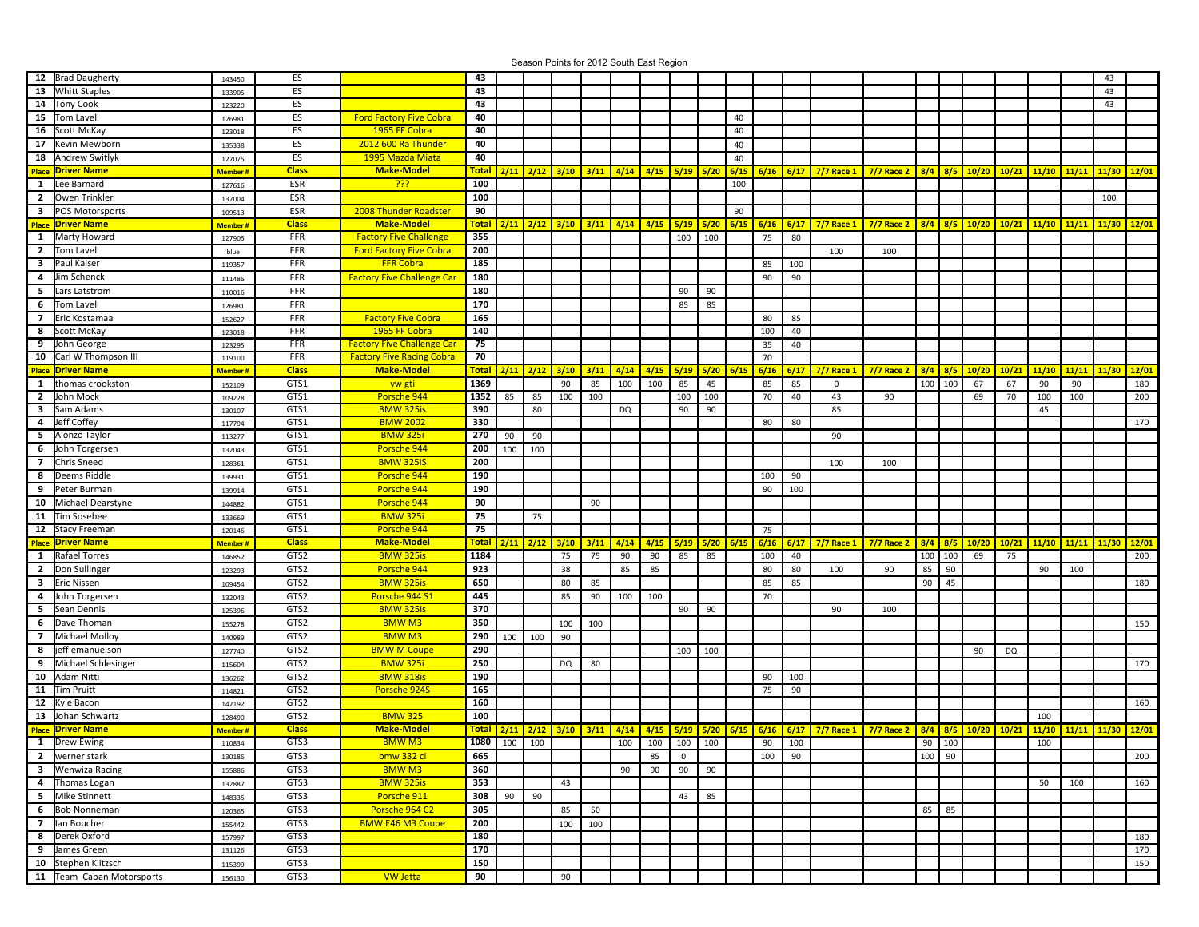Season Points for 2012 South East Region

|                         | 12 Brad Daugherty        | 143450  | ES           |                                   | 43           |                |                      |                            |      |                                                   |                 |             |      |             |             |      |                      |                   |           |          |       |       |               |               | 43    |       |
|-------------------------|--------------------------|---------|--------------|-----------------------------------|--------------|----------------|----------------------|----------------------------|------|---------------------------------------------------|-----------------|-------------|------|-------------|-------------|------|----------------------|-------------------|-----------|----------|-------|-------|---------------|---------------|-------|-------|
| 13                      | <b>Whitt Staples</b>     | 133905  | ES           |                                   | 43           |                |                      |                            |      |                                                   |                 |             |      |             |             |      |                      |                   |           |          |       |       |               |               | 43    |       |
| 14                      | Tony Cook                | 123220  | ES           |                                   | 43           |                |                      |                            |      |                                                   |                 |             |      |             |             |      |                      |                   |           |          |       |       |               |               | 43    |       |
| 15                      | Tom Lavell               | 126981  | ES           | <b>Ford Factory Five Cobra</b>    | 40           |                |                      |                            |      |                                                   |                 |             |      | 40          |             |      |                      |                   |           |          |       |       |               |               |       |       |
| 16                      | Scott McKay              | 123018  | ES           | 1965 FF Cobra                     | 40           |                |                      |                            |      |                                                   |                 |             |      | 40          |             |      |                      |                   |           |          |       |       |               |               |       |       |
| 17                      | Kevin Mewborn            | 135338  | ES           | 2012 600 Ra Thunder               | 40           |                |                      |                            |      |                                                   |                 |             |      | 40          |             |      |                      |                   |           |          |       |       |               |               |       |       |
| 18                      | <b>Andrew Switlyk</b>    |         | ES           | 1995 Mazda Miata                  | 40           |                |                      |                            |      |                                                   |                 |             |      |             |             |      |                      |                   |           |          |       |       |               |               |       |       |
|                         |                          | 127075  |              |                                   |              |                |                      |                            |      |                                                   |                 |             |      | 40          |             |      |                      |                   |           |          |       |       |               |               |       |       |
| Place                   | <b>Driver Name</b>       | Member# | <b>Class</b> | <b>Make-Model</b>                 | <b>Total</b> |                |                      | $2/11$ $2/12$ $3/10$       | 3/11 | 4/14                                              | 4/15            | 5/19        | 5/20 | 6/15        |             |      | 6/16 6/17 7/7 Race 1 | $7/7$ Race 2      | $8/4$ 8/5 |          | 10/20 |       | $10/21$ 11/10 | 11/11         | 11/30 | 12/01 |
| $\mathbf{1}$            | Lee Barnard              | 127616  | ESR          | <u> ???</u>                       | 100          |                |                      |                            |      |                                                   |                 |             |      | 100         |             |      |                      |                   |           |          |       |       |               |               |       |       |
| $\overline{2}$          | Owen Trinkler            | 137004  | ESR          |                                   | 100          |                |                      |                            |      |                                                   |                 |             |      |             |             |      |                      |                   |           |          |       |       |               |               | 100   |       |
|                         | <b>3</b> POS Motorsports | 109513  | ESR          | 2008 Thunder Roadster             | 90           |                |                      |                            |      |                                                   |                 |             |      | 90          |             |      |                      |                   |           |          |       |       |               |               |       |       |
|                         | <b>Place Driver Name</b> | Member# | <b>Class</b> | <b>Make-Model</b>                 | <b>Total</b> |                |                      | $2/11$ $2/12$ $3/10$       | 3/11 | 4/14                                              | 4/15            | 5/19        | 5/20 | 6/15        | $6/16$ 6/17 |      | $7/7$ Race 1         | <b>7/7 Race 2</b> | $8/4$ 8/5 |          | 10/20 |       | $10/21$ 11/10 | 11/11         | 11/30 | 12/01 |
|                         | 1 Marty Howard           | 127905  | FFR          | <b>Factory Five Challenge</b>     | 355          |                |                      |                            |      |                                                   |                 | 100         | 100  |             | 75          | 80   |                      |                   |           |          |       |       |               |               |       |       |
| $2^{\circ}$             | <b>Tom Lavell</b>        | blue    | FFR          | <b>Ford Factory Five Cobra</b>    | 200          |                |                      |                            |      |                                                   |                 |             |      |             |             |      | 100                  | 100               |           |          |       |       |               |               |       |       |
| 3                       | Paul Kaiser              | 119357  | FFR          | <b>FFR Cobra</b>                  | 185          |                |                      |                            |      |                                                   |                 |             |      |             | 85          | 100  |                      |                   |           |          |       |       |               |               |       |       |
| 4                       | Jim Schenck              | 111486  | FFR          | <b>Factory Five Challenge Car</b> | 180          |                |                      |                            |      |                                                   |                 |             |      |             | 90          | 90   |                      |                   |           |          |       |       |               |               |       |       |
|                         |                          |         | FFR          |                                   | 180          |                |                      |                            |      |                                                   |                 |             |      |             |             |      |                      |                   |           |          |       |       |               |               |       |       |
| 5                       | Lars Latstrom            | 110016  |              |                                   |              |                |                      |                            |      |                                                   |                 | 90          | 90   |             |             |      |                      |                   |           |          |       |       |               |               |       |       |
| 6                       | <b>Tom Lavell</b>        | 126981  | FFR          |                                   | 170          |                |                      |                            |      |                                                   |                 | 85          | 85   |             |             |      |                      |                   |           |          |       |       |               |               |       |       |
| $\overline{7}$          | Eric Kostamaa            | 152627  | FFR          | <b>Factory Five Cobra</b>         | 165          |                |                      |                            |      |                                                   |                 |             |      |             | 80          | 85   |                      |                   |           |          |       |       |               |               |       |       |
| 8                       | Scott McKay              | 123018  | FFR          | 1965 FF Cobra                     | 140          |                |                      |                            |      |                                                   |                 |             |      |             | 100         | 40   |                      |                   |           |          |       |       |               |               |       |       |
| 9                       | John George              | 123295  | FFR          | <b>Factory Five Challenge Car</b> | 75           |                |                      |                            |      |                                                   |                 |             |      |             | 35          | 40   |                      |                   |           |          |       |       |               |               |       |       |
| 10                      | Carl W Thompson III      | 119100  | FFR          | <b>Factory Five Racing Cobra</b>  | 70           |                |                      |                            |      |                                                   |                 |             |      |             | 70          |      |                      |                   |           |          |       |       |               |               |       |       |
|                         | <b>Place Driver Name</b> | Member# | <b>Class</b> | <b>Make-Model</b>                 | <b>Total</b> |                | $2/11$ $2/12$ $3/10$ |                            | 3/11 | 4/14                                              | 4/15            | 5/19        |      | $5/20$ 6/15 | 6/16        | 6/17 | $7/7$ Race 1         | <b>7/7 Race 2</b> | $8/4$ 8/5 |          | 10/20 | 10/21 | 11/10         | 11/11         | 11/30 | 12/01 |
| $\mathbf{1}$            | thomas crookston         | 152109  | GTS1         | ww gti                            | 1369         |                |                      | 90                         | 85   | 100                                               | 100             | 85          | 45   |             | 85          | 85   | $\mathbf 0$          |                   | 100       | 100      | 67    | 67    | 90            | 90            |       | 180   |
| $\overline{2}$          | John Mock                | 109228  | GTS1         | Porsche 944                       | 1352         | 85             | 85                   | 100                        | 100  |                                                   |                 | 100         | 100  |             | 70          | 40   | 43                   | 90                |           |          | 69    | 70    | 100           | 100           |       | 200   |
| 3                       | Sam Adams                | 130107  | GTS1         | <b>BMW 325is</b>                  | 390          |                | 80                   |                            |      | DQ                                                |                 | 90          | 90   |             |             |      | 85                   |                   |           |          |       |       | 45            |               |       |       |
| 4                       | Jeff Coffey              | 117794  | GTS1         | <b>BMW 2002</b>                   | 330          |                |                      |                            |      |                                                   |                 |             |      |             | 80          | 80   |                      |                   |           |          |       |       |               |               |       | 170   |
| 5                       | Alonzo Taylor            | 113277  | GTS1         | <b>BMW 325i</b>                   | 270          | 90             | 90                   |                            |      |                                                   |                 |             |      |             |             |      | 90                   |                   |           |          |       |       |               |               |       |       |
| 6                       | John Torgersen           |         | GTS1         | Porsche 944                       | 200          | 100            | 100                  |                            |      |                                                   |                 |             |      |             |             |      |                      |                   |           |          |       |       |               |               |       |       |
|                         |                          | 132043  |              |                                   |              |                |                      |                            |      |                                                   |                 |             |      |             |             |      |                      |                   |           |          |       |       |               |               |       |       |
| $\overline{7}$          | Chris Sneed              | 128361  | GTS1         | <b>BMW 325IS</b>                  | 200          |                |                      |                            |      |                                                   |                 |             |      |             |             |      | 100                  | 100               |           |          |       |       |               |               |       |       |
| 8                       | Deems Riddle             | 139931  | GTS1         | Porsche 944                       | 190          |                |                      |                            |      |                                                   |                 |             |      |             | 100         | 90   |                      |                   |           |          |       |       |               |               |       |       |
| 9                       | Peter Burman             | 139914  | GTS1         | Porsche 944                       | 190          |                |                      |                            |      |                                                   |                 |             |      |             | 90          | 100  |                      |                   |           |          |       |       |               |               |       |       |
| 10                      | Michael Dearstyne        | 144882  | GTS1         | Porsche 944                       | 90           |                |                      |                            | 90   |                                                   |                 |             |      |             |             |      |                      |                   |           |          |       |       |               |               |       |       |
| 11                      | Tim Sosebee              | 133669  | GTS1         | <b>BMW 325i</b>                   | 75           |                | 75                   |                            |      |                                                   |                 |             |      |             |             |      |                      |                   |           |          |       |       |               |               |       |       |
|                         | 12 Stacy Freeman         | 120146  | GTS1         | Porsche 944                       | 75           |                |                      |                            |      |                                                   |                 |             |      |             | 75          |      |                      |                   |           |          |       |       |               |               |       |       |
|                         | <b>Place Driver Name</b> | Member# | <b>Class</b> | <b>Make-Model</b>                 | <b>Total</b> |                | $2/11$ $2/12$        | 3/10                       | 3/11 | 4/14                                              | 4/15            | 5/19        |      | $5/20$ 6/15 | 6/16        | 6/17 | 7/7 Race 1           | <b>7/7 Race 2</b> | 8/4       | 8/5      | 10/20 | 10/21 | 11/10         | 11/11         | 11/30 | 12/01 |
|                         | 1 Rafael Torres          | 146852  | GTS2         | <b>BMW 325is</b>                  | 1184         |                |                      | 75                         | 75   | 90                                                | 90              | 85          | 85   |             | 100         | 40   |                      |                   | 100       | 100      | 69    | 75    |               |               |       | 200   |
| 2 <sup>1</sup>          | Don Sullinger            | 123293  | GTS2         | Porsche 944                       | 923          |                |                      | 38                         |      | 85                                                | 85              |             |      |             | 80          | 80   | 100                  | 90                | 85        | 90       |       |       | 90            | 100           |       |       |
|                         | 3 Eric Nissen            | 109454  | GTS2         | <b>BMW 325is</b>                  | 650          |                |                      | 80                         | 85   |                                                   |                 |             |      |             | 85          | 85   |                      |                   | 90        | 45       |       |       |               |               |       | 180   |
|                         | 4 John Torgersen         | 132043  | GTS2         | Porsche 944 S1                    | 445          |                |                      | 85                         | 90   | 100                                               | 100             |             |      |             | 70          |      |                      |                   |           |          |       |       |               |               |       |       |
| 5 <sub>1</sub>          | Sean Dennis              |         | GTS2         | <b>BMW 325is</b>                  | 370          |                |                      |                            |      |                                                   |                 | 90          | 90   |             |             |      | 90                   | 100               |           |          |       |       |               |               |       |       |
|                         |                          | 125396  |              |                                   | 350          |                |                      |                            |      |                                                   |                 |             |      |             |             |      |                      |                   |           |          |       |       |               |               |       |       |
| 6                       | Dave Thoman              | 155278  | GTS2         | <b>BMWM3</b>                      |              |                |                      | 100                        | 100  |                                                   |                 |             |      |             |             |      |                      |                   |           |          |       |       |               |               |       | 150   |
| $\overline{7}$          | Michael Molloy           | 140989  | GTS2         | <b>BMWM3</b>                      | 290          | 100            | 100                  | 90                         |      |                                                   |                 |             |      |             |             |      |                      |                   |           |          |       |       |               |               |       |       |
| 8                       | jeff emanuelson          | 127740  | GTS2         | <b>BMW M Coupe</b>                | 290          |                |                      |                            |      |                                                   |                 | 100         | 100  |             |             |      |                      |                   |           |          | 90    | DQ    |               |               |       |       |
| 9                       | Michael Schlesinger      | 115604  | GTS2         | <b>BMW 325</b>                    | 250          |                |                      | DQ                         | 80   |                                                   |                 |             |      |             |             |      |                      |                   |           |          |       |       |               |               |       | 170   |
| 10                      | Adam Nitti               | 136262  | GTS2         | <b>BMW 318is</b>                  | 190          |                |                      |                            |      |                                                   |                 |             |      |             | 90          | 100  |                      |                   |           |          |       |       |               |               |       |       |
| 11                      | <b>Tim Pruitt</b>        | 114821  | GTS2         | Porsche 924S                      | 165          |                |                      |                            |      |                                                   |                 |             |      |             | 75          | 90   |                      |                   |           |          |       |       |               |               |       |       |
| 12                      | Kyle Bacon               | 142192  | GTS2         |                                   | 160          |                |                      |                            |      |                                                   |                 |             |      |             |             |      |                      |                   |           |          |       |       |               |               |       | 160   |
| 13                      | Johan Schwartz           | 128490  | GTS2         | <b>BMW 325</b>                    | 100          |                |                      |                            |      |                                                   |                 |             |      |             |             |      |                      |                   |           |          |       |       | 100           |               |       |       |
|                         | <b>Place Driver Name</b> | Member# | <b>Class</b> | <b>Make-Model</b>                 |              |                |                      | Total   2/11   2/12   3/10 | 3/11 | <mark>  4/14   4/15   5/19   5/20   6/15  </mark> |                 |             |      |             | $6/16$ 6/17 |      | $7/7$ Race 1         | <b>7/7 Race 2</b> | $8/4$ 8/5 |          | 10/20 | 10/21 | 11/10         | $11/11$ 11/30 |       | 12/01 |
|                         | 1 Drew Ewing             | 110834  | GTS3         | <b>BMW M3</b>                     |              | $1080$ 100 100 |                      |                            |      |                                                   | 100 100 100 100 |             |      |             | 90          | 100  |                      |                   |           | $90$ 100 |       |       | 100           |               |       |       |
|                         | 2   werner stark         | 130186  | GTS3         | bmw 332 ci                        | 665          |                |                      |                            |      |                                                   | 85              | $\mathbf 0$ |      |             | 100         | 90   |                      |                   | 100       | 90       |       |       |               |               |       | 200   |
| $\overline{\mathbf{3}}$ | <b>Wenwiza Racing</b>    | 155886  | GTS3         | <b>BMW M3</b>                     | 360          |                |                      |                            |      | 90                                                | 90              | 90          | 90   |             |             |      |                      |                   |           |          |       |       |               |               |       |       |
|                         | 4 Thomas Logan           | 132887  | GTS3         | <b>BMW 325is</b>                  | 353          |                |                      | 43                         |      |                                                   |                 |             |      |             |             |      |                      |                   |           |          |       |       | 50            | 100           |       | 160   |
|                         |                          |         | GTS3         |                                   | 308          |                | 90                   |                            |      |                                                   |                 |             |      |             |             |      |                      |                   |           |          |       |       |               |               |       |       |
| 5 <sub>1</sub>          | Mike Stinnett            | 148335  |              | Porsche 911                       |              | 90             |                      |                            |      |                                                   |                 | 43          | 85   |             |             |      |                      |                   |           |          |       |       |               |               |       |       |
| 6                       | <b>Bob Nonneman</b>      | 120365  | GTS3         | Porsche 964 C2                    | 305          |                |                      | 85                         | 50   |                                                   |                 |             |      |             |             |      |                      |                   | 85        | 85       |       |       |               |               |       |       |
| 7 <sup>7</sup>          | lan Boucher              | 155442  | GTS3         | <b>BMW E46 M3 Coupe</b>           | 200          |                |                      | 100                        | 100  |                                                   |                 |             |      |             |             |      |                      |                   |           |          |       |       |               |               |       |       |
| 8                       | Derek Oxford             | 157997  | GTS3         |                                   | 180          |                |                      |                            |      |                                                   |                 |             |      |             |             |      |                      |                   |           |          |       |       |               |               |       | 180   |
| 9                       | James Green              | 131126  | GTS3         |                                   | 170          |                |                      |                            |      |                                                   |                 |             |      |             |             |      |                      |                   |           |          |       |       |               |               |       | 170   |
| 10                      | Stephen Klitzsch         | 115399  | GTS3         |                                   | 150          |                |                      |                            |      |                                                   |                 |             |      |             |             |      |                      |                   |           |          |       |       |               |               |       | 150   |
| 11                      | Team Caban Motorsports   | 156130  | GTS3         | <b>VW Jetta</b>                   | 90           |                |                      | 90                         |      |                                                   |                 |             |      |             |             |      |                      |                   |           |          |       |       |               |               |       |       |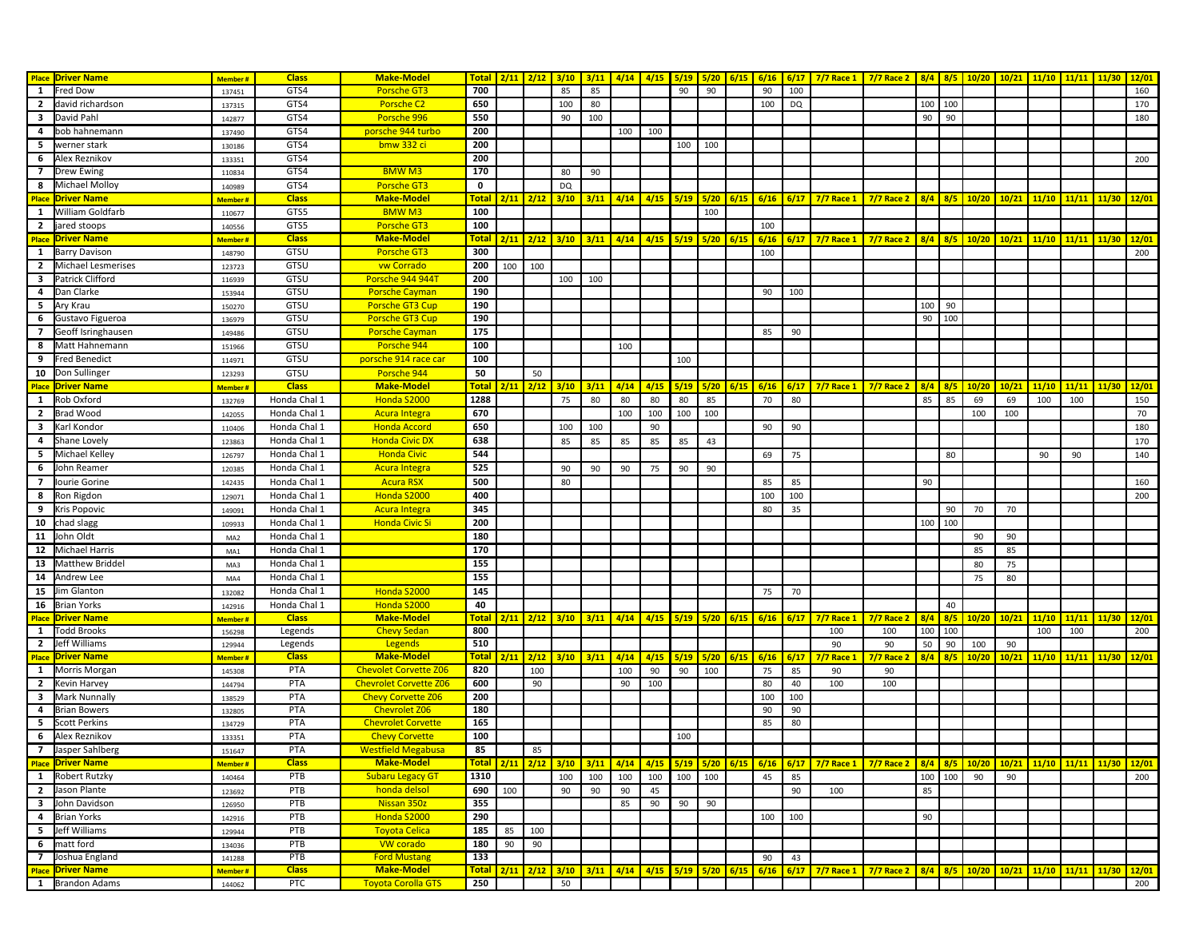|                         | <b>Place Driver Name</b>               | <b>Member#</b>           | <b>Class</b>         | <b>Make-Model</b>                       |                             | Total   2/11   2/12 |               | 3/10      |      |               |                  |             |             |      |                  |           | 3/11   4/14   4/15   5/19   5/20   6/15   6/16   6/17   7/7 Race 1   7/7 Race 2   8/4   8/5 |                        |           |           | $10/20$ 10/21 |       | 11/10 11/11 11/30                                    |               |                   | 12/01 |
|-------------------------|----------------------------------------|--------------------------|----------------------|-----------------------------------------|-----------------------------|---------------------|---------------|-----------|------|---------------|------------------|-------------|-------------|------|------------------|-----------|---------------------------------------------------------------------------------------------|------------------------|-----------|-----------|---------------|-------|------------------------------------------------------|---------------|-------------------|-------|
| 1                       | Fred Dow                               | 137451                   | GTS4                 | Porsche GT3                             | 700                         |                     |               | 85        | 85   |               |                  | 90          | 90          |      | 90               | 100       |                                                                                             |                        |           |           |               |       |                                                      |               |                   | 160   |
|                         | 2 david richardson                     | 137315                   | GTS4                 | Porsche C2                              | 650                         |                     |               | 100       | 80   |               |                  |             |             |      | 100              | <b>DQ</b> |                                                                                             |                        | 100       | 100       |               |       |                                                      |               |                   | 170   |
| 3                       | David Pahl                             | 142877                   | GTS4                 | Porsche 996                             | 550                         |                     |               | 90        | 100  |               |                  |             |             |      |                  |           |                                                                                             |                        | 90        | 90        |               |       |                                                      |               |                   | 180   |
| 4                       | bob hahnemann                          |                          | GTS4                 | porsche 944 turbo                       | 200                         |                     |               |           |      | 100           | 100              |             |             |      |                  |           |                                                                                             |                        |           |           |               |       |                                                      |               |                   |       |
| 5                       | werner stark                           | 137490                   | GTS4                 | bmw 332 ci                              | 200                         |                     |               |           |      |               |                  | 100         | 100         |      |                  |           |                                                                                             |                        |           |           |               |       |                                                      |               |                   |       |
| 6                       | Alex Reznikov                          | 130186                   |                      |                                         | 200                         |                     |               |           |      |               |                  |             |             |      |                  |           |                                                                                             |                        |           |           |               |       |                                                      |               |                   | 200   |
| $\overline{7}$          | Drew Ewing                             | 133351                   | GTS4<br>GTS4         | <b>BMW M3</b>                           | 170                         |                     |               |           | 90   |               |                  |             |             |      |                  |           |                                                                                             |                        |           |           |               |       |                                                      |               |                   |       |
|                         |                                        | 110834                   |                      |                                         |                             |                     |               | 80        |      |               |                  |             |             |      |                  |           |                                                                                             |                        |           |           |               |       |                                                      |               |                   |       |
| 8                       | Michael Molloy                         | 140989                   | GTS4                 | <b>Porsche GT3</b><br><b>Make-Model</b> | $\mathbf 0$<br><b>Total</b> |                     |               | <b>DQ</b> |      |               |                  |             |             |      |                  |           |                                                                                             |                        |           |           |               |       |                                                      |               |                   |       |
| <b>Place</b><br>1       | <b>Driver Name</b><br>William Goldfarb | <mark>Member</mark> #    | <b>Class</b><br>GTS5 | <b>BMWM3</b>                            | 100                         | $2/11$ $2/12$       |               | 3/10      | 3/11 | 4/14          | 4/15             | 5/19        | 5/20        |      |                  |           | 6/15 6/16 6/17 7/7 Race 1                                                                   | $7/7$ Race 2           |           | $8/4$ 8/5 | 10/20         | 10/21 |                                                      | $11/10$ 11/11 | 11/30             | 12/01 |
|                         |                                        | 110677                   |                      |                                         |                             |                     |               |           |      |               |                  |             | 100         |      |                  |           |                                                                                             |                        |           |           |               |       |                                                      |               |                   |       |
| $\overline{2}$          | jared stoops                           | 140556                   | GTS5                 | Porsche GT3                             | 100                         |                     |               |           |      |               |                  |             |             |      | 100              |           |                                                                                             |                        |           |           |               |       |                                                      |               |                   |       |
| <b>Place</b>            | <b>Driver Name</b>                     | <mark>Member</mark> #    | <b>Class</b>         | <b>Make-Model</b>                       | <b>Tota</b>                 | $2/11$ $2/12$       |               | 3/10      | 3/11 | 4/14          | 4/15             | 5/19        | 5/20        | 6/15 |                  |           | $6/16$ 6/17 7/7 Race 1                                                                      | <b>7/7 Race 2</b>      | $8/4$ 8/5 |           | 10/20         | 10/21 | $11/10$ 11/11                                        |               | 11/30             | 12/01 |
| $\mathbf{1}$            | <b>Barry Davison</b>                   | 148790                   | GTSU                 | <b>Porsche GT3</b>                      | 300                         |                     |               |           |      |               |                  |             |             |      | 100              |           |                                                                                             |                        |           |           |               |       |                                                      |               |                   | 200   |
| $\overline{2}$          | Michael Lesmerises                     | 123723                   | GTSU                 | vw Corrado                              | 200                         | 100                 | 100           |           |      |               |                  |             |             |      |                  |           |                                                                                             |                        |           |           |               |       |                                                      |               |                   |       |
| $\overline{\mathbf{3}}$ | Patrick Clifford                       | 116939                   | GTSU                 | Porsche 944 944T                        | 200                         |                     |               | 100       | 100  |               |                  |             |             |      |                  |           |                                                                                             |                        |           |           |               |       |                                                      |               |                   |       |
| $\overline{a}$          | Dan Clarke                             | 153944                   | GTSU                 | <b>Porsche Cayman</b>                   | 190                         |                     |               |           |      |               |                  |             |             |      | 90               | 100       |                                                                                             |                        |           |           |               |       |                                                      |               |                   |       |
| 5                       | Ary Krau                               | 150270                   | GTSU                 | Porsche GT3 Cup                         | 190                         |                     |               |           |      |               |                  |             |             |      |                  |           |                                                                                             |                        | 100       | 90        |               |       |                                                      |               |                   |       |
| 6                       | Gustavo Figueroa                       | 136979                   | GTSU                 | Porsche GT3 Cup                         | 190                         |                     |               |           |      |               |                  |             |             |      |                  |           |                                                                                             |                        | 90        | 100       |               |       |                                                      |               |                   |       |
| $\overline{7}$          | Geoff Isringhausen                     | 149486                   | GTSU                 | <b>Porsche Cayman</b>                   | 175                         |                     |               |           |      |               |                  |             |             |      | 85               | 90        |                                                                                             |                        |           |           |               |       |                                                      |               |                   |       |
| 8                       | Matt Hahnemann                         | 151966                   | GTSU                 | Porsche 944                             | 100                         |                     |               |           |      | 100           |                  |             |             |      |                  |           |                                                                                             |                        |           |           |               |       |                                                      |               |                   |       |
| 9                       | Fred Benedict                          | 114971                   | GTSU                 | porsche 914 race car                    | 100                         |                     |               |           |      |               |                  | 100         |             |      |                  |           |                                                                                             |                        |           |           |               |       |                                                      |               |                   |       |
|                         | 10  Don Sullinger                      | 123293                   | GTSU                 | Porsche 944                             | 50                          |                     | 50            |           |      |               |                  |             |             |      |                  |           |                                                                                             |                        |           |           |               |       |                                                      |               |                   |       |
|                         | <b>Place Driver Name</b>               | <mark>Member #</mark>    | <b>Class</b>         | <b>Make-Model</b>                       | <b>Total</b>                | 2/11                | 2/12          | 3/10      | 3/11 | 4/14          | 4/15             |             | $5/19$ 5/20 | 6/15 | $6/16$ 6/17      |           | $7/7$ Race 1                                                                                | $7/7$ Race 2           | $8/4$ 8/5 |           | 10/20         | 10/21 |                                                      | $11/10$ 11/11 | 11/30             | 12/01 |
| $\mathbf{1}$            | Rob Oxford                             | 132769                   | Honda Chal 1         | Honda S2000                             | 1288                        |                     |               | 75        | 80   | 80            | 80               | 80          | 85          |      | 70               | 80        |                                                                                             |                        | 85        | 85        | 69            | 69    | 100                                                  | 100           |                   | 150   |
|                         | 2 Brad Wood                            | 142055                   | Honda Chal 1         | <b>Acura Integra</b>                    | 670                         |                     |               |           |      | 100           | 100              | 100         | 100         |      |                  |           |                                                                                             |                        |           |           | 100           | 100   |                                                      |               |                   | 70    |
| $\overline{\mathbf{3}}$ | Karl Kondor                            | 110406                   | Honda Chal 1         | <b>Honda Accord</b>                     | 650                         |                     |               | 100       | 100  |               | 90               |             |             |      | 90               | 90        |                                                                                             |                        |           |           |               |       |                                                      |               |                   | 180   |
|                         | 4 Shane Lovely                         | 123863                   | Honda Chal 1         | <b>Honda Civic DX</b>                   | 638                         |                     |               | 85        | 85   | 85            | 85               | 85          | 43          |      |                  |           |                                                                                             |                        |           |           |               |       |                                                      |               |                   | 170   |
| 5                       | Michael Kelley                         | 126797                   | Honda Chal 1         | <b>Honda Civic</b>                      | 544                         |                     |               |           |      |               |                  |             |             |      | 69               | 75        |                                                                                             |                        |           | 80        |               |       | 90                                                   | 90            |                   | 140   |
| 6                       | John Reamer                            | 120385                   | Honda Chal 1         | <b>Acura Integra</b>                    | 525                         |                     |               | 90        | 90   | 90            | 75               | 90          | 90          |      |                  |           |                                                                                             |                        |           |           |               |       |                                                      |               |                   |       |
| $\overline{7}$          | Iourie Gorine                          | 142435                   | Honda Chal 1         | <b>Acura RSX</b>                        | 500                         |                     |               | 80        |      |               |                  |             |             |      | 85               | 85        |                                                                                             |                        | 90        |           |               |       |                                                      |               |                   | 160   |
| 8                       | Ron Rigdon                             | 129071                   | Honda Chal 1         | Honda S2000                             | 400                         |                     |               |           |      |               |                  |             |             |      | 100              | 100       |                                                                                             |                        |           |           |               |       |                                                      |               |                   | 200   |
| 9                       | Kris Popovic                           | 149091                   | Honda Chal 1         | <b>Acura Integra</b>                    | 345                         |                     |               |           |      |               |                  |             |             |      | 80               | 35        |                                                                                             |                        |           | 90        | 70            | 70    |                                                      |               |                   |       |
| 10                      | chad slagg                             | 109933                   | Honda Chal 1         | <b>Honda Civic Si</b>                   | 200                         |                     |               |           |      |               |                  |             |             |      |                  |           |                                                                                             |                        | 100       | 100       |               |       |                                                      |               |                   |       |
| 11                      | John Oldt                              | MA <sub>2</sub>          | Honda Chal 1         |                                         | 180                         |                     |               |           |      |               |                  |             |             |      |                  |           |                                                                                             |                        |           |           | 90            | 90    |                                                      |               |                   |       |
|                         | 12 Michael Harris                      | MA1                      | Honda Chal 1         |                                         | 170                         |                     |               |           |      |               |                  |             |             |      |                  |           |                                                                                             |                        |           |           | 85            | 85    |                                                      |               |                   |       |
| 13                      | Matthew Briddel                        | MA3                      | Honda Chal 1         |                                         | 155                         |                     |               |           |      |               |                  |             |             |      |                  |           |                                                                                             |                        |           |           | 80            | 75    |                                                      |               |                   |       |
|                         | 14 Andrew Lee                          | MA4                      | Honda Chal 1         |                                         | 155                         |                     |               |           |      |               |                  |             |             |      |                  |           |                                                                                             |                        |           |           | 75            | 80    |                                                      |               |                   |       |
| 15                      | Jim Glanton                            | 132082                   | Honda Chal 1         | Honda S2000                             | 145                         |                     |               |           |      |               |                  |             |             |      | 75               | 70        |                                                                                             |                        |           |           |               |       |                                                      |               |                   |       |
|                         | 16 Brian Yorks                         | 142916                   | Honda Chal 1         | Honda S2000                             | 40                          |                     |               |           |      |               |                  |             |             |      |                  |           |                                                                                             |                        |           | 40        |               |       |                                                      |               |                   |       |
|                         | <b>Place Driver Name</b>               | Member #                 | <b>Class</b>         | <b>Make-Model</b>                       | <b>Total</b>                |                     | $2/11$ $2/12$ | 3/10      | 3/11 | 4/14          | 4/15             | $5/19$ 5/20 |             | 6/15 | $6/16$ 6/17      |           | $7/7$ Race 1                                                                                | <b>7/7 Race 2</b>      | 8/4       | 8/5       | 10/20         | 10/21 | 11/10                                                | 11/11         | 11/30             | 12/01 |
| $\mathbf{1}$            | Todd Brooks                            | 156298                   | Legends              | <b>Chevy Sedan</b>                      | 800                         |                     |               |           |      |               |                  |             |             |      |                  |           | 100                                                                                         | 100                    | 100       | 100       |               |       | 100                                                  | 100           |                   | 200   |
|                         | 2 Jeff Williams                        | 129944                   | Legends              | Legends                                 | 510                         |                     |               |           |      |               |                  |             |             |      |                  |           | 90                                                                                          | 90                     | 50        | 90        | 100           | 90    |                                                      |               |                   |       |
| <b>Place</b>            | <b>Driver Name</b>                     | <mark>Member #</mark>    | <b>Class</b>         | <b>Make-Model</b>                       | <b>Total</b>                | $2/11$ $2/12$       |               | 3/10      | 3/11 | 4/14          | 4/15             | 5/19        | 5/20        | 6/15 | $6/16$ 6/17      |           | <b>7/7 Race 1</b>                                                                           | <b>7/7 Race 2</b>      | 8/4       | 8/5       | 10/20         | 10/21 | $11/10$ 11/11                                        |               | 11/30             | 12/01 |
| $\mathbf{1}$            | Morris Morgan                          | 145308                   | PTA                  | <b>Chevolet Corvette Z06</b>            | 820                         |                     | 100           |           |      | 100           | 90               | 90          | 100         |      | 75               | 85        | 90                                                                                          | 90                     |           |           |               |       |                                                      |               |                   |       |
| $\overline{2}$          | Kevin Harvey                           | 144794                   | PTA                  | <b>Chevrolet Corvette Z06</b>           | 600                         |                     | 90            |           |      | 90            | 100              |             |             |      | 80               | 40        | 100                                                                                         | 100                    |           |           |               |       |                                                      |               |                   |       |
| $\overline{\mathbf{3}}$ | Mark Nunnally                          | 138529                   | PTA                  | <b>Chevy Corvette Z06</b>               | 200                         |                     |               |           |      |               |                  |             |             |      | 100              | 100       |                                                                                             |                        |           |           |               |       |                                                      |               |                   |       |
| 4                       | <b>Brian Bowers</b>                    | 132805                   | PTA                  | <b>Chevrolet Z06</b>                    | 180                         |                     |               |           |      |               |                  |             |             |      | 90               | 90        |                                                                                             |                        |           |           |               |       |                                                      |               |                   |       |
| 5                       | Scott Perkins                          | 134729                   | PTA                  | <b>Chevrolet Corvette</b>               | 165                         |                     |               |           |      |               |                  |             |             |      | 85               | 80        |                                                                                             |                        |           |           |               |       |                                                      |               |                   |       |
| 6                       | Alex Reznikov                          | 133351                   | PTA                  | <b>Chevy Corvette</b>                   | 100                         |                     |               |           |      |               |                  | 100         |             |      |                  |           |                                                                                             |                        |           |           |               |       |                                                      |               |                   |       |
|                         | <b>7</b> Jasper Sahlberg               | 151647                   | PTA                  | <b>Westfield Megabusa</b>               | 85                          |                     | 85            |           |      |               |                  |             |             |      |                  |           |                                                                                             |                        |           |           |               |       |                                                      |               |                   |       |
|                         | <b>Place Driver Name</b>               | <b>Member#</b>           | <b>Class</b>         | <b>Make-Model</b>                       |                             | Total $2/11$ $2/12$ |               | 3/10      | 3/11 | 4/14          | 4/15             |             | $5/19$ 5/20 |      | $6/15$ 6/16 6/17 |           | 7/7 Race 1 7/7 Race 2                                                                       |                        |           | $8/4$ 8/5 | 10/20         | 10/21 |                                                      |               | 11/10 11/11 11/30 | 12/01 |
|                         | 1 Robert Rutzky                        | 140464                   | PTB                  | <b>Subaru Legacy GT</b>                 | 1310                        |                     |               | 100       | 100  | 100           | 100              | 100         | 100         |      | 45               | 85        |                                                                                             |                        |           | 100 100   | 90            | 90    |                                                      |               |                   | 200   |
|                         | 2 Jason Plante                         | 123692                   | PTB                  | honda delsol                            | 690                         | 100                 |               | 90        | 90   | 90            | 45               |             |             |      |                  | 90        | 100                                                                                         |                        | 85        |           |               |       |                                                      |               |                   |       |
|                         | 3 John Davidson                        | 126950                   | PTB                  | Nissan 350z                             | 355                         |                     |               |           |      | 85            | 90               | 90          | 90          |      |                  |           |                                                                                             |                        |           |           |               |       |                                                      |               |                   |       |
|                         | 4 Brian Yorks                          | 142916                   | PTB                  | Honda S2000                             | 290                         |                     |               |           |      |               |                  |             |             |      | 100              | 100       |                                                                                             |                        | 90        |           |               |       |                                                      |               |                   |       |
|                         | 5 Jeff Williams                        |                          | PTB                  | <b>Toyota Celica</b>                    | 185                         | 85                  | 100           |           |      |               |                  |             |             |      |                  |           |                                                                                             |                        |           |           |               |       |                                                      |               |                   |       |
|                         | 6 matt ford                            | 129944                   | PTB                  | <b>VW</b> corado                        | 180                         | 90                  | 90            |           |      |               |                  |             |             |      |                  |           |                                                                                             |                        |           |           |               |       |                                                      |               |                   |       |
|                         | 7 Joshua England                       | 134036                   | PTB                  | <b>Ford Mustang</b>                     | 133                         |                     |               |           |      |               |                  |             |             |      | 90               | 43        |                                                                                             |                        |           |           |               |       |                                                      |               |                   |       |
|                         | <b>Place Driver Name</b>               | 141288<br><b>Member#</b> | <b>Class</b>         | <b>Make-Model</b>                       |                             | Total $2/11$ $2/12$ |               | 3/10      |      | $3/11$ $4/14$ | $4/15$ 5/19 5/20 |             |             | 6/15 |                  |           | 6/16 6/17 7/7 Race 1                                                                        | 7/7 Race 2   8/4   8/5 |           |           |               |       | <mark>  10/20   10/21   11/10   11/11   11/30</mark> |               |                   | 12/01 |
|                         | 1 Brandon Adams                        | 144062                   | PTC                  | <b>Toyota Corolla GTS</b>               | 250                         |                     |               | 50        |      |               |                  |             |             |      |                  |           |                                                                                             |                        |           |           |               |       |                                                      |               |                   | 200   |
|                         |                                        |                          |                      |                                         |                             |                     |               |           |      |               |                  |             |             |      |                  |           |                                                                                             |                        |           |           |               |       |                                                      |               |                   |       |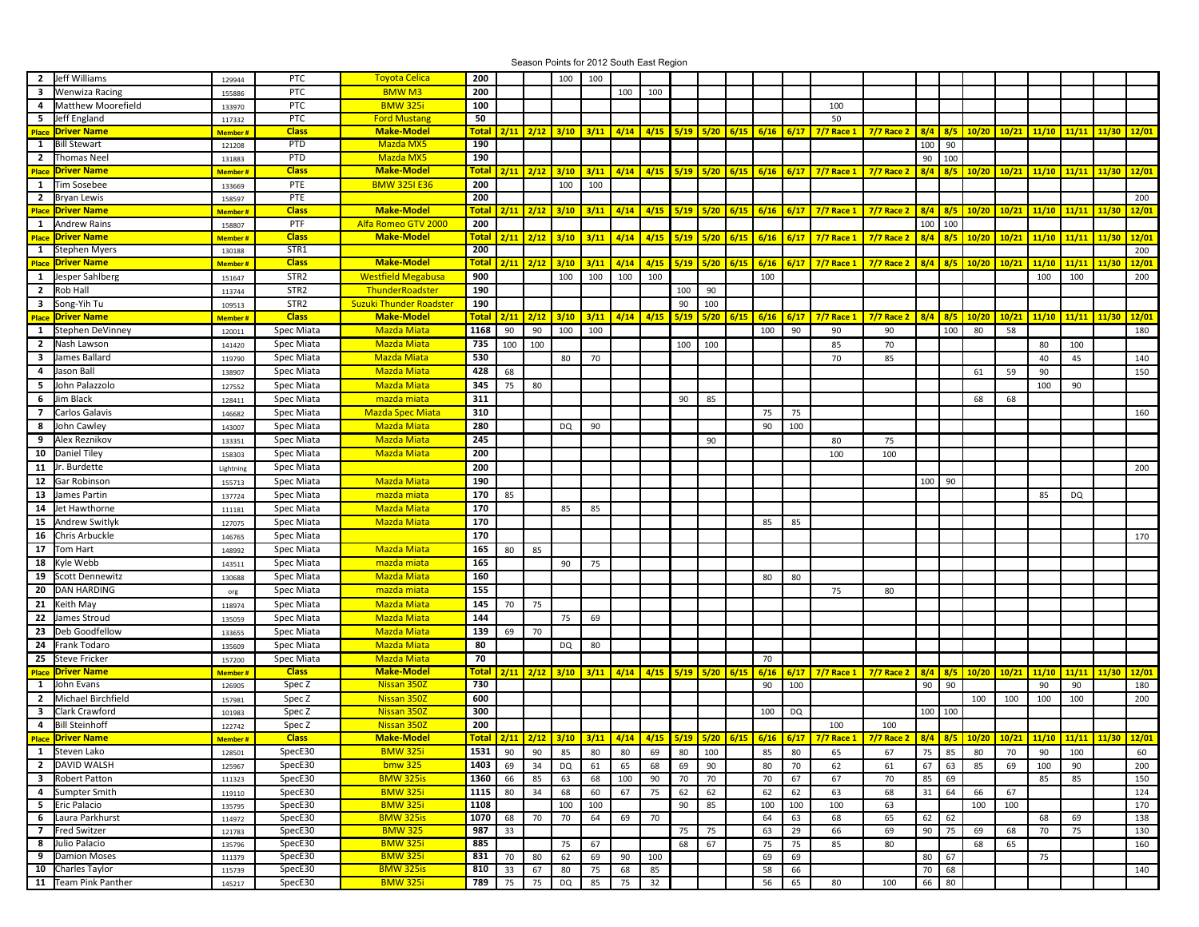Season Points for 2012 South East Region **2** Jeff Williams **2 200 200 200 200** 100 **200** 100 **200** 100 **3** Wenwiza Racing | 155886 | PTC | BMW M3 | **200** | | | | | 100 | 100 **4** 133970 PTC BMW 325i **100** 100 **5** Jeff England 117332 PTC Ford Mustang **50** 50 11/10 | 11/10 | 11/11 | 11/30 | 12/01 | 11/11 | 11/30 | 12/01 | 11/30 | 12/01 | 2/11 | 1/12 | 1/12 | 3/11 | 1/12 | 4/14 | 4/15 | 5/19 | 5/17 | 6/17 | 7/7 Race 1 | 7/7 Race 2 | 8/4 | 8/5 | 10/20 | 10/21 | 11/10 | 11/11 | 1 1 Bill Stewart 121208 PTD <mark>Mazda MX5 190</mark> 1 1 1 1 1 1 1 1 1 1 1 100 90 2 Thomas Neel | <sub>131883</sub> | PTD <mark> Mazda MX5 |</mark> 190 | | | | | | | | | | | | 90 | 100 <u>| Arc | Driver Name</u> | Arc || Arc || Arc || Ale || Make-Model || Total || 2/11 || 2/12 || 3/10 || 3/11 || 4/14 || 4/15 || 5/10 || 5/10 || 5/15 || 6/15 || 6/15 || 6/17 || 7/7 Race 1 || 7/7 Race 2 || 8/4 || 8/5 || 10/20 || **1** Tim Sosebee 1 **133669** PTE **PTE BMW 325I E36 200** 1 100 100 **2** Bryan Lewis 158597 PTE **200** 200 Place Driver Name 1996 8/5 8/4 8/5 8/4 8/5 10/20 10/21 10/20 11/11 11/10 11/11 11/30 12/01 11/10 11/11 11/30 12/01 11/11 11/30 12/01 11/11 11/30 12/01 11/11 11/30 12/01 11/11 11/30 12/01 11/11 11/30 12/01 11/11 11/30 12/01 **1** Andrew Rains 158807 PTF **200** 100 100 11/10 | 11/10 | 11/11 | 11/30 | 12/01 | 11/11 | 11/30 | 12/01 | 11/30 | 12/01 | 2/11 | 1/12 | 1/12 | 3/11 | 1/12 | 4/14 | 4/15 | 5/19 | 5/17 | 6/17 | 7/7 Race 1 | 7/7 Race 2 | 8/4 | 8/5 | 10/20 | 10/21 | 11/10 | 11/11 | 1 **1** Stephen Myers 130188 STR1 **200** 200 11/10 | 11/10 11/11 | 11/30 | 12/01 | 11/11 | 11/30 | 12/01 | 11/30 | 12/01 | 2/11 | 1/12 | 1/12 | 3/11 | 1/12 | 1/11 | 1/12 | 5/19 | 5/10 | 6/17 | 6/17 | 6/17 | 7/7 Race 1 | 7/7 Race 2 | 8/4 | 8/5 | 10/20 | 10/21 | 11/10 **1** Jesper Sahlberg | <sub>151647</sub> | STR2 <mark>| Westfield Megabusa |</mark> 900 | | | 100 | 100 | 100 | | | 100 | | 100 | | 200 | | 200 | | 200 | | 200 | | 200 | | 200 | | 200 **2** Rob Hall 113744 STR2 **190** 100 90 **3** Song-Yih Tu **109513** STR2 Suzuki Thunder Roadster **190** 90 900 900 900 900 900 100 Place Driver Name 1996 8/5 8/4 8/5 8/4 8/5 10/20 10/21 10/20 11/10 11/10 11/10 11/10 11/10 11/10 11/11 11/30 12/01 11/10 11/11 11/30 12/01 11/10 11/11 11/30 12/01 11/10 11/11 11/30 12/01 11/10 11/11 11/30 12/01 11/10 11/11 **1** Stephen DeVinney | 120011 | Spec Miata <mark> Mazda Miata |</mark> 1168 | 90 | 90 | | | | | | 100 | 90 | | 90 | | 100 | 80 | 58 | | | | 180 **2** |Nash Lawson | 141420 | Spec Miata | Mazda Miata | 735 | 100 | 100 | 100 | 100 | 100 | 100 | 100 | 100 | 100 | 100 | 100 | 100 | 100 | 100 | 100 | 100 | 100 | 100 | 100 | 100 | 100 | 100 | 100 | 100 | 1 **3** James Ballard 119790 **530** 80 70 70 85 40 45 140 **4** Jason Ball 138907 **428** 68 61 59 90 150 **5** 127552 **345** 75 80 100 90 **6** Jim Black 128411 **311** 90 85 68 68 **7** 146682 **310** 75 75 160 **8** John Cawley | 143007 | Spec Miata <mark>| Mazda Miata | 280 |</mark> | | DQ | 90 | | | | | | 90 | 100 **9** 133351 **245** 90 80 75 **10** | Daniel Tiley | 158303 | Spec Miata | Mazda Miata | 200 | | | | | | | | | | | | | | 100 | 100 **11** Lightning **200** 200 **12** Gar Robinson 155713 **190** 100 90 **13** 137724 **170** 85 85 DQ **14** Jet Hawthorne 11 **111181** 111181 **11181** Spec Miata **1 Mazda Miata 1170** 1170 85 85 **15** 127075 **170** 85 85 **16** 146765 **170** 170 **17** Tom Hart **148992 148992 165 165 165 165 165 165 165 165 165 165 18** Kyle Webb **143511** Spec Miata **1 mazda miata 1455** 165 190 75 **19** 130688 **160** 80 80 **20 D**AN HARDING | org | Spec Miata <mark> mazda miata | 155</mark> | | | | | | | | | | 75 | 80 **21** Keith May 1189 118974 **118974** Spec Miata **1182da Miata 1145** 1145 120 125 **22** 135059 **144** 75 69 **23** Deb Goodfellow **133655** Spec Miata **1 Mazda Miata 139 | 69 | 70 24** 135609 **80** DQ 80 **25** 157200 **70** 70 Place Driver Name 1996 8/5 8/4 8/5 8/4 8/5 10/20 10/21 10/20 11/11 11/10 11/11 11/30 12/01 11/10 11/11 11/30 12/01 11/11 11/30 12/01 11/11 11/30 12/01 11/11 11/30 12/01 11/11 11/30 12/01 11/11 11/30 12/01 11/11 11/30 12/01 **1** John Evans 126905 Spec Z Nissan 350Z **730** 90 100 90 90 90 90 180 2 Michael Birchfield | <sub>157981</sub> | Spec Z | Nis<mark>san 350Z | 600 |</mark> | | | | | | | | | | | | | | 100 | 100 | 100 | 100 | 100 | | 200 **3** Clark Crawford 101983 Spec Z Nissan 350Z 300 1 1 1 1 1 1 1 1 100 DQ 100 100 100 100 100 4 Bill Steinhoff | <sub>122742</sub> | Spec Z <mark>| Nissan 350Z |</mark> 200 | | | | | | | | | | | | 100 | 100 11/10 | 11/10 11/11 | 11/30 | 12/01 | 11/11 | 11/30 | 12/01 | 11/30 | 12/01 | 2/11 | 1/12 | 1/12 | 3/11 | 1/12 | 1/11 | 1/12 | 5/19 | 5/10 | 6/17 | 6/17 | 6/17 | 7/7 Race 1 | 7/7 Race 2 | 8/4 | 8/5 | 10/20 | 10/21 | 11/10 **1** 128501 SpecE30 BMW 325i **1531** 90 90 85 80 80 69 80 100 85 80 65 67 75 85 80 70 90 100 60 **2** DAVID WALSH | 125967 | SpecE30 <mark> bmw 325 |</mark> 14**03** | 69 | 34 | DQ | 61 | 65 | 69 | 90 | | 200 | 90 | | 200 | 90 | | 200 | 90 | | 200 | 90 | | 200 | 90 | | 200 **3** Robert Patton 111323 SpecE30 <mark>BMW 325is 1</mark>260 66 85 63 68 100 90 70 70 70 67 67 70 85 69 1 85 85 150 **4** 119110 SpecE30 BMW 325i **1115** 80 34 68 60 67 75 62 62 62 62 63 68 31 64 66 67 124 **5** 135795 SpecE30 BMW 325i **1108** 100 100 90 85 100 100 100 63 100 100 170 **6** |Laura Parkhurst | <sub>114972</sub> | SpecE30 | BMW 325is | 1070 | 68 | 70 | 64 | 69 | 70 | | | | 64 | 63 | 63 | 68 | 68 | 69 | | | 68 | 69 | | | 138 **7** |Fred Switzer | 121783 | SpecE30 | BMW 325 | 987 | 33 | | | | | | 75 | 75 | | 63 | 29 | 66 | 69 | 90 | 75 | 69 | 68 | 70 | 75 | | 130 **8** 135796 SpecE30 BMW 325i **885** 75 67 68 67 75 75 85 80 68 65 160 **9** Damion Moses 111379 SpecE30 <mark>BMW 325i 831</mark> 70 80 62 69 90 100 1 69 69 80 50 67 100 57 **10** Charles Taylor 115739 SpecE30 BMW 325is **810** 33 67 80 75 68 85 58 66 70 68 140 **11** Team Pink Panther 145217 SpecE30 BMW 325i **789** 75 75 DQ 85 75 32 56 65 80 100 66 80 Toyota Celica Wenwiza Racing Matthew Moorefield Thomas Neel Tim Sosebee Alfa Romeo GTV 2000 Jesper Sahlberg News Lockstein Megabusa Nester Alberta II STR2 Network Westfield Megabusa **ThunderRoadster** Song-Yih Tu Stephen DeVinney **Stephen DeVinney** Spec Miata **Nazda Miata** Niata Spec Miata **Channel Mazda Miata** Spec Miata Nazda Miata Spec Miata **Canada Mazda Miata** John Palazzolo Spec Miata Mazda Miata Spec Miata **Calculation** mazda miata Carlos Galavis **Special Carlos Carlos Galavis** Carlos Galavis And Tuesda Special And Mazda Spec Miata John Cawley **Spec Miata** Mazda Miata Niata Cawley **Spec Miata** Niata Miata Alex Reznikov Spec Miata Mazda Miata Daniel Tiley **Spec Miata** Spec Miata **Mazda Miata** Mazda Miata Ir. Burdette **Spec Miata** Spec Miata Spec Miata **Mazda Miata** James Partin North Spec Miata no mazda miata Spec Miata | **Mazda Miata** Andrew Switlyk Spec Miata (Spec Miata Markedon, Mazda Miata Miata Chris Arbuckle **Spec Miata Spec Miata** Spec Miata **Case Contrary** Mazda Miata Spec Miata **kata ini mazda miata** Scott Dennewitz **Spec Miata** Spec Miata Nazda Miata Spec Miata **kata ini mazda miata** Spec Miata **Case Contrary** Mazda Miata ames Stroud Spec Miata Number of the Spec Miata Spec Miata Number of Mazda Miata Deb Goodfellow The Contract of the Spec Miata Coordinate Mazda Miata Frank Todaro **Special Angles Contains Spec Miata** Mazda Miata Steve Fricker **Superint Contains Contains Contains Contains Contains Contains Contains Contains Contains Contain** Michael Birchfield Bill Steinhoff Steven Lako bmw 325 Sumpter Smith Eric Palacio Laura Parkhurst Fred Switzer Julio Palacio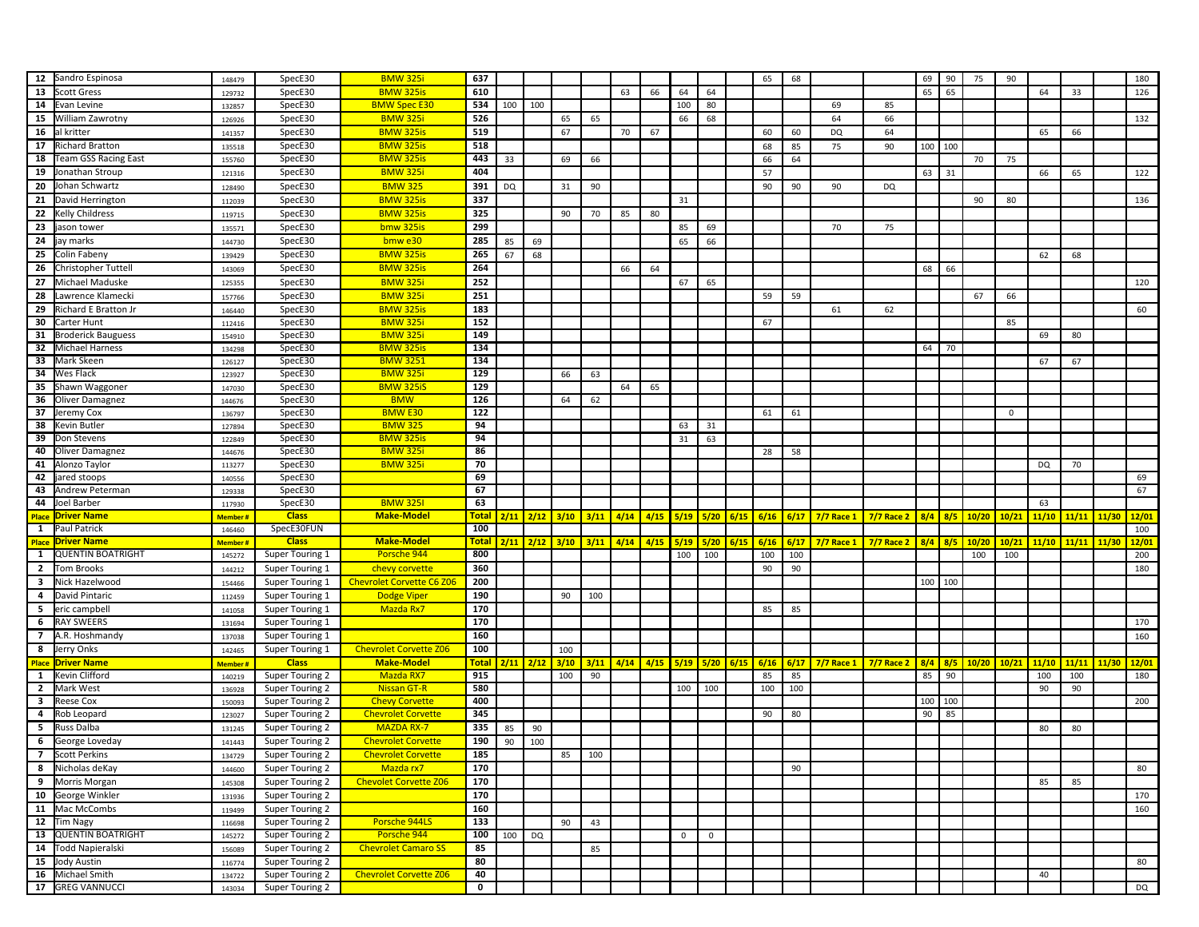| 12                      | Sandro Espinosa                   | 148479           | SpecE30         | <b>BMW 325i</b>                  | 637          |           |               |                      |      |      |             |              |              |      | 65   | 68     |                   |                   | 69  | 90  | 75          | 90          |       |       |       | 180   |
|-------------------------|-----------------------------------|------------------|-----------------|----------------------------------|--------------|-----------|---------------|----------------------|------|------|-------------|--------------|--------------|------|------|--------|-------------------|-------------------|-----|-----|-------------|-------------|-------|-------|-------|-------|
| 13                      | <b>Scott Gress</b>                | 129732           | SpecE30         | <b>BMW 325is</b>                 | 610          |           |               |                      |      | 63   | 66          | 64           | 64           |      |      |        |                   |                   | 65  | 65  |             |             | 64    | 33    |       | 126   |
| 14                      | Evan Levine                       | 132857           | SpecE30         | <b>BMW Spec E30</b>              | 534          | 100       | $\vert$ 100   |                      |      |      |             | 100          | 80           |      |      |        | 69                | 85                |     |     |             |             |       |       |       |       |
| 15                      | William Zawrotny                  | 126926           | SpecE30         | <b>BMW 325i</b>                  | 526          |           |               | 65                   | 65   |      |             | 66           | 68           |      |      |        | 64                | 66                |     |     |             |             |       |       |       | 132   |
| 16                      | al kritter                        | 141357           | SpecE30         | <b>BMW 325is</b>                 | 519          |           |               | 67                   |      | 70   | 67          |              |              |      | 60   | 60     | DQ                | 64                |     |     |             |             | 65    | 66    |       |       |
| 17                      | <b>Richard Bratton</b>            | 135518           | SpecE30         | <b>BMW 325is</b>                 | 518          |           |               |                      |      |      |             |              |              |      | 68   | 85     | 75                | 90                | 100 | 100 |             |             |       |       |       |       |
| 18                      | Team GSS Racing East              | 155760           | SpecE30         | <b>BMW 325is</b>                 | 443          | 33        |               | 69                   | 66   |      |             |              |              |      | 66   | 64     |                   |                   |     |     | 70          | 75          |       |       |       |       |
| 19                      | Jonathan Stroup                   | 121316           | SpecE30         | <b>BMW 325i</b>                  | 404          |           |               |                      |      |      |             |              |              |      | 57   |        |                   |                   | 63  | 31  |             |             | 66    | 65    |       | 122   |
| 20                      | Johan Schwartz                    | 128490           | SpecE30         | <b>BMW 325</b>                   | 391          | <b>DQ</b> |               | 31                   | 90   |      |             |              |              |      | 90   | 90     | 90                | DQ                |     |     |             |             |       |       |       |       |
| 21                      | David Herrington                  |                  | SpecE30         | <b>BMW 325is</b>                 | 337          |           |               |                      |      |      |             | 31           |              |      |      |        |                   |                   |     |     | 90          | 80          |       |       |       | 136   |
|                         |                                   | 112039           |                 |                                  | 325          |           |               |                      |      |      |             |              |              |      |      |        |                   |                   |     |     |             |             |       |       |       |       |
| 22                      | Kelly Childress                   | 119715           | SpecE30         | <b>BMW 325is</b>                 |              |           |               | 90                   | 70   | 85   | 80          |              |              |      |      |        |                   |                   |     |     |             |             |       |       |       |       |
| 23                      | jason tower                       | 135571           | SpecE30         | bmw 325is                        | 299          |           |               |                      |      |      |             | 85           | 69           |      |      |        | 70                | 75                |     |     |             |             |       |       |       |       |
| 24                      | jay marks                         | 144730           | SpecE30         | bmw e30                          | 285          | 85        | 69            |                      |      |      |             | 65           | 66           |      |      |        |                   |                   |     |     |             |             |       |       |       |       |
| 25                      | Colin Fabeny                      | 139429           | SpecE30         | <b>BMW 325is</b>                 | 265          | 67        | 68            |                      |      |      |             |              |              |      |      |        |                   |                   |     |     |             |             | 62    | 68    |       |       |
| 26                      | Christopher Tuttell               | 143069           | SpecE30         | <b>BMW 325is</b>                 | 264          |           |               |                      |      | 66   | 64          |              |              |      |      |        |                   |                   | 68  | 66  |             |             |       |       |       |       |
| 27                      | Michael Maduske                   | 125355           | SpecE30         | <b>BMW 325i</b>                  | 252          |           |               |                      |      |      |             | 67           | 65           |      |      |        |                   |                   |     |     |             |             |       |       |       | 120   |
| 28                      | Lawrence Klamecki                 | 157766           | SpecE30         | <b>BMW 325i</b>                  | 251          |           |               |                      |      |      |             |              |              |      | 59   | 59     |                   |                   |     |     | 67          | 66          |       |       |       |       |
| 29                      | Richard E Bratton Jr              | 146440           | SpecE30         | <b>BMW 325is</b>                 | 183          |           |               |                      |      |      |             |              |              |      |      |        | 61                | 62                |     |     |             |             |       |       |       | 60    |
| 30                      | Carter Hunt                       | 112416           | SpecE30         | <b>BMW 325</b>                   | 152          |           |               |                      |      |      |             |              |              |      | 67   |        |                   |                   |     |     |             | 85          |       |       |       |       |
| 31                      | <b>Broderick Bauguess</b>         | 154910           | SpecE30         | <b>BMW 325</b>                   | 149          |           |               |                      |      |      |             |              |              |      |      |        |                   |                   |     |     |             |             | 69    | 80    |       |       |
| 32                      | Michael Harness                   | 134298           | SpecE30         | <b>BMW 325is</b>                 | 134          |           |               |                      |      |      |             |              |              |      |      |        |                   |                   | 64  | 70  |             |             |       |       |       |       |
| 33                      | Mark Skeen                        | 126127           | SpecE30         | <b>BMW 3251</b>                  | 134          |           |               |                      |      |      |             |              |              |      |      |        |                   |                   |     |     |             |             | 67    | 67    |       |       |
| 34                      | Wes Flack                         | 123927           | SpecE30         | <b>BMW 325i</b>                  | 129          |           |               | 66                   | 63   |      |             |              |              |      |      |        |                   |                   |     |     |             |             |       |       |       |       |
| 35                      | Shawn Waggoner                    | 147030           | SpecE30         | <b>BMW 325iS</b>                 | 129          |           |               |                      |      | 64   | 65          |              |              |      |      |        |                   |                   |     |     |             |             |       |       |       |       |
| 36                      | Oliver Damagnez                   | 144676           | SpecE30         | <b>BMW</b>                       | 126          |           |               | 64                   | 62   |      |             |              |              |      |      |        |                   |                   |     |     |             |             |       |       |       |       |
| 37                      | Jeremy Cox                        |                  | SpecE30         | <b>BMW E30</b>                   | 122          |           |               |                      |      |      |             |              |              |      | 61   | 61     |                   |                   |     |     |             | $\mathbf 0$ |       |       |       |       |
| 38                      | Kevin Butler                      | 136797<br>127894 | SpecE30         | <b>BMW 325</b>                   | 94           |           |               |                      |      |      |             | 63           | 31           |      |      |        |                   |                   |     |     |             |             |       |       |       |       |
| 39                      | Don Stevens                       | 122849           | SpecE30         | <b>BMW 325is</b>                 | 94           |           |               |                      |      |      |             | 31           | 63           |      |      |        |                   |                   |     |     |             |             |       |       |       |       |
| 40                      |                                   |                  | SpecE30         | <b>BMW 325</b>                   | 86           |           |               |                      |      |      |             |              |              |      | 28   | 58     |                   |                   |     |     |             |             |       |       |       |       |
| 41                      | Oliver Damagnez                   | 144676           |                 | <b>BMW 325i</b>                  | 70           |           |               |                      |      |      |             |              |              |      |      |        |                   |                   |     |     |             |             |       |       |       |       |
| 42                      | Alonzo Taylor<br>jared stoops     | 113277           | SpecE30         |                                  | 69           |           |               |                      |      |      |             |              |              |      |      |        |                   |                   |     |     |             |             | DQ    | 70    |       |       |
|                         |                                   | 140556           | SpecE30         |                                  |              |           |               |                      |      |      |             |              |              |      |      |        |                   |                   |     |     |             |             |       |       |       | 69    |
|                         |                                   |                  |                 |                                  |              |           |               |                      |      |      |             |              |              |      |      |        |                   |                   |     |     |             |             |       |       |       |       |
| 43                      | Andrew Peterman                   | 129338           | SpecE30         |                                  | 67           |           |               |                      |      |      |             |              |              |      |      |        |                   |                   |     |     |             |             |       |       |       | 67    |
| 44                      | Joel Barber                       | 117930           | SpecE30         | <b>BMW 3251</b>                  | 63           |           |               |                      |      |      |             |              |              |      |      |        |                   |                   |     |     |             |             | 63    |       |       |       |
|                         | <b>Place Driver Name</b>          | Member#          | <b>Class</b>    | <b>Make-Model</b>                | <b>Total</b> |           |               | $2/11$ $2/12$ $3/10$ | 3/11 | 4/14 | 4/15        | 5/19         | 5/20         | 6/15 | 6/16 | $6/17$ | <b>7/7 Race 1</b> | <b>7/7 Race 2</b> | 8/4 |     | $8/5$ 10/20 | 10/21       | 11/10 | 11/11 | 11/30 | 12/01 |
| $\mathbf{1}$            | Paul Patrick                      | 146460           | SpecE30FUN      |                                  | 100          |           |               |                      |      |      |             |              |              |      |      |        |                   |                   |     |     |             |             |       |       |       | 100   |
|                         | <b>Place Driver Name</b>          | <b>Member#</b>   | <b>Class</b>    | <b>Make-Model</b>                | <b>Total</b> |           |               | $2/11$ $2/12$ $3/10$ | 3/11 | 4/14 | 4/15        | 5/19         | 5/20         | 6/15 | 6/16 | 6/17   | <b>7/7 Race 1</b> | <b>7/7 Race 2</b> | 8/4 | 8/5 | 10/20       | 10/21       | 11/10 | 11/11 | 11/30 | 12/01 |
| $\mathbf{1}$            | <b>QUENTIN BOATRIGHT</b>          | 145272           | Super Touring 1 | Porsche 944                      | 800          |           |               |                      |      |      |             | 100          | 100          |      | 100  | 100    |                   |                   |     |     | 100         | 100         |       |       |       | 200   |
| $\overline{2}$          | Tom Brooks                        | 144212           | Super Touring 1 | chevy corvette                   | 360          |           |               |                      |      |      |             |              |              |      | 90   | 90     |                   |                   |     |     |             |             |       |       |       | 180   |
| $\overline{\mathbf{3}}$ | Nick Hazelwood                    | 154466           | Super Touring 1 | <b>Chevrolet Corvette C6 Z06</b> | 200          |           |               |                      |      |      |             |              |              |      |      |        |                   |                   | 100 | 100 |             |             |       |       |       |       |
| 4                       | David Pintaric                    | 112459           | Super Touring 1 | <b>Dodge Viper</b>               | 190          |           |               | 90                   | 100  |      |             |              |              |      |      |        |                   |                   |     |     |             |             |       |       |       |       |
| 5                       | eric campbell                     | 141058           | Super Touring 1 | Mazda Rx7                        | 170          |           |               |                      |      |      |             |              |              |      | 85   | 85     |                   |                   |     |     |             |             |       |       |       |       |
| 6                       | <b>RAY SWEERS</b>                 | 131694           | Super Touring 1 |                                  | 170          |           |               |                      |      |      |             |              |              |      |      |        |                   |                   |     |     |             |             |       |       |       | 170   |
| $\overline{7}$          | A.R. Hoshmandy                    | 137038           | Super Touring 1 |                                  | 160          |           |               |                      |      |      |             |              |              |      |      |        |                   |                   |     |     |             |             |       |       |       | 160   |
| 8                       | Jerry Onks                        | 142465           | Super Touring 1 | <b>Chevrolet Corvette Z06</b>    | 100          |           |               | 100                  |      |      |             |              |              |      |      |        |                   |                   |     |     |             |             |       |       |       |       |
| <b>Place</b>            | <b>Driver Name</b>                | <b>Member#</b>   | <b>Class</b>    | <b>Make-Model</b>                | <b>Total</b> |           | $2/11$ $2/12$ | 3/10                 | 3/11 | 4/14 | $4/15$ 5/19 |              | 5/20         | 6/15 | 6/16 | 6/17   | $7/7$ Race 1      | <b>7/7 Race 2</b> | 8/4 |     | 8/5 10/20   | 10/21       | 11/10 | 11/11 | 11/30 | 12/01 |
| <b>1</b>                | Kevin Clifford                    | 140219           | Super Touring 2 | <b>Mazda RX7</b>                 | 915          |           |               | 100                  | 90   |      |             |              |              |      | 85   | 85     |                   |                   | 85  | 90  |             |             | 100   | 100   |       | 180   |
| $\overline{2}$          | Mark West                         | 136928           | Super Touring 2 | <b>Nissan GT-R</b>               | 580          |           |               |                      |      |      |             | 100          | 100          |      | 100  | 100    |                   |                   |     |     |             |             | 90    | 90    |       |       |
| 3                       | <b>Reese Cox</b>                  | 150093           | Super Touring 2 | <b>Chevy Corvette</b>            | 400          |           |               |                      |      |      |             |              |              |      |      |        |                   |                   | 100 | 100 |             |             |       |       |       | 200   |
| 4                       |                                   |                  | Super Touring 2 |                                  |              |           |               |                      |      |      |             |              |              |      |      |        |                   |                   |     |     |             |             |       |       |       |       |
|                         | Rob Leopard                       | 123027           |                 | <b>Chevrolet Corvette</b>        | 345          |           |               |                      |      |      |             |              |              |      | 90   | 80     |                   |                   | 90  | 85  |             |             |       |       |       |       |
| 5                       | Russ Dalba                        | 131245           | Super Touring 2 | <b>MAZDA RX-7</b>                | 335          | 85        | 90            |                      |      |      |             |              |              |      |      |        |                   |                   |     |     |             |             | 80    | 80    |       |       |
| 6                       | George Loveday                    | 141443           | Super Touring 2 | <b>Chevrolet Corvette</b>        | 190          | 90        | 100           |                      |      |      |             |              |              |      |      |        |                   |                   |     |     |             |             |       |       |       |       |
|                         | 7 Scott Perkins                   | 134729           | Super Touring 2 | <b>Chevrolet Corvette</b>        | 185          |           |               | 85                   | 100  |      |             |              |              |      |      |        |                   |                   |     |     |             |             |       |       |       |       |
| 8                       | Nicholas deKay                    | 144600           | Super Touring 2 | Mazda rx7                        | 170          |           |               |                      |      |      |             |              |              |      |      | 90     |                   |                   |     |     |             |             |       |       |       | 80    |
|                         | 9 Morris Morgan                   | 145308           | Super Touring 2 | <b>Chevolet Corvette Z06</b>     | 170          |           |               |                      |      |      |             |              |              |      |      |        |                   |                   |     |     |             |             | 85    | 85    |       |       |
|                         | 10 George Winkler                 | 131936           | Super Touring 2 |                                  | 170          |           |               |                      |      |      |             |              |              |      |      |        |                   |                   |     |     |             |             |       |       |       | 170   |
|                         | 11 Mac McCombs                    | 119499           | Super Touring 2 |                                  | 160          |           |               |                      |      |      |             |              |              |      |      |        |                   |                   |     |     |             |             |       |       |       | 160   |
|                         | $\overline{12}$ Tim Nagy          | 116698           | Super Touring 2 | Porsche 944LS                    | 133          |           |               | 90                   | 43   |      |             |              |              |      |      |        |                   |                   |     |     |             |             |       |       |       |       |
| 13                      | QUENTIN BOATRIGHT                 | 145272           | Super Touring 2 | Porsche 944                      | 100          | 100       | DQ            |                      |      |      |             | $\mathbf{0}$ | $\mathbf{0}$ |      |      |        |                   |                   |     |     |             |             |       |       |       |       |
|                         | 14 Todd Napieralski               | 156089           | Super Touring 2 | <b>Chevrolet Camaro SS</b>       | 85           |           |               |                      | 85   |      |             |              |              |      |      |        |                   |                   |     |     |             |             |       |       |       |       |
| 15                      | Jody Austin                       | 116774           | Super Touring 2 |                                  | 80           |           |               |                      |      |      |             |              |              |      |      |        |                   |                   |     |     |             |             |       |       |       | 80    |
| 16                      | Michael Smith<br>17 GREG VANNUCCI | 134722           | Super Touring 2 | <b>Chevrolet Corvette Z06</b>    | 40           |           |               |                      |      |      |             |              |              |      |      |        |                   |                   |     |     |             |             | 40    |       |       |       |